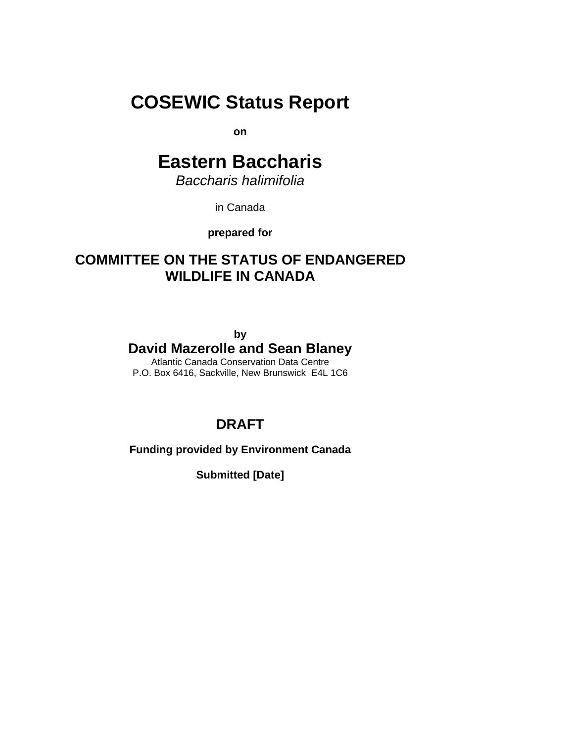# **COSEWIC Status Report**

**on** 

# **Eastern Baccharis**

*Baccharis halimifolia* 

in Canada

**prepared for** 

# **COMMITTEE ON THE STATUS OF ENDANGERED WILDLIFE IN CANADA**

**by**

# **David Mazerolle and Sean Blaney**

Atlantic Canada Conservation Data Centre P.O. Box 6416, Sackville, New Brunswick E4L 1C6

# **DRAFT**

**Funding provided by Environment Canada** 

**Submitted [Date]**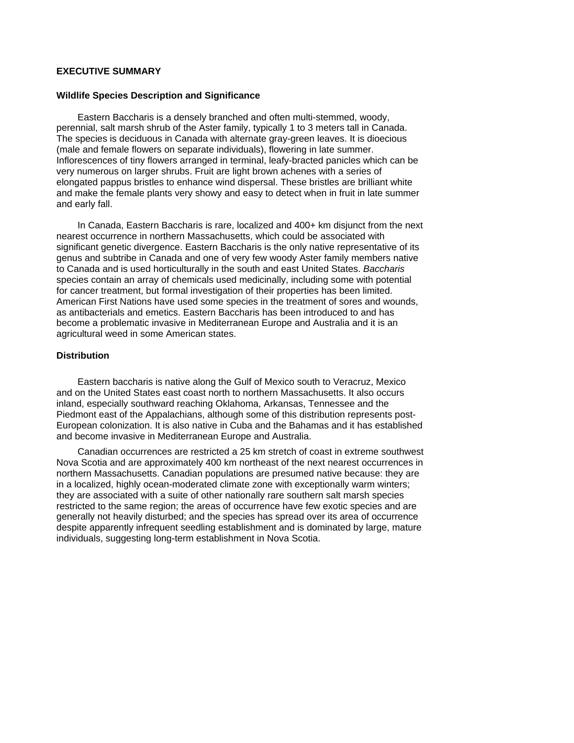#### <span id="page-1-0"></span>**EXECUTIVE SUMMARY**

#### **Wildlife Species Description and Significance**

Eastern Baccharis is a densely branched and often multi-stemmed, woody, perennial, salt marsh shrub of the Aster family, typically 1 to 3 meters tall in Canada. The species is deciduous in Canada with alternate gray-green leaves. It is dioecious (male and female flowers on separate individuals), flowering in late summer. Inflorescences of tiny flowers arranged in terminal, leafy-bracted panicles which can be very numerous on larger shrubs. Fruit are light brown achenes with a series of elongated pappus bristles to enhance wind dispersal. These bristles are brilliant white and make the female plants very showy and easy to detect when in fruit in late summer and early fall.

In Canada, Eastern Baccharis is rare, localized and 400+ km disjunct from the next nearest occurrence in northern Massachusetts, which could be associated with significant genetic divergence. Eastern Baccharis is the only native representative of its genus and subtribe in Canada and one of very few woody Aster family members native to Canada and is used horticulturally in the south and east United States. *Baccharis* species contain an array of chemicals used medicinally, including some with potential for cancer treatment, but formal investigation of their properties has been limited. American First Nations have used some species in the treatment of sores and wounds, as antibacterials and emetics. Eastern Baccharis has been introduced to and has become a problematic invasive in Mediterranean Europe and Australia and it is an agricultural weed in some American states.

# **Distribution**

Eastern baccharis is native along the Gulf of Mexico south to Veracruz, Mexico and on the United States east coast north to northern Massachusetts. It also occurs inland, especially southward reaching Oklahoma, Arkansas, Tennessee and the Piedmont east of the Appalachians, although some of this distribution represents post-European colonization. It is also native in Cuba and the Bahamas and it has established and become invasive in Mediterranean Europe and Australia.

Canadian occurrences are restricted a 25 km stretch of coast in extreme southwest Nova Scotia and are approximately 400 km northeast of the next nearest occurrences in northern Massachusetts. Canadian populations are presumed native because: they are in a localized, highly ocean-moderated climate zone with exceptionally warm winters; they are associated with a suite of other nationally rare southern salt marsh species restricted to the same region; the areas of occurrence have few exotic species and are generally not heavily disturbed; and the species has spread over its area of occurrence despite apparently infrequent seedling establishment and is dominated by large, mature individuals, suggesting long-term establishment in Nova Scotia.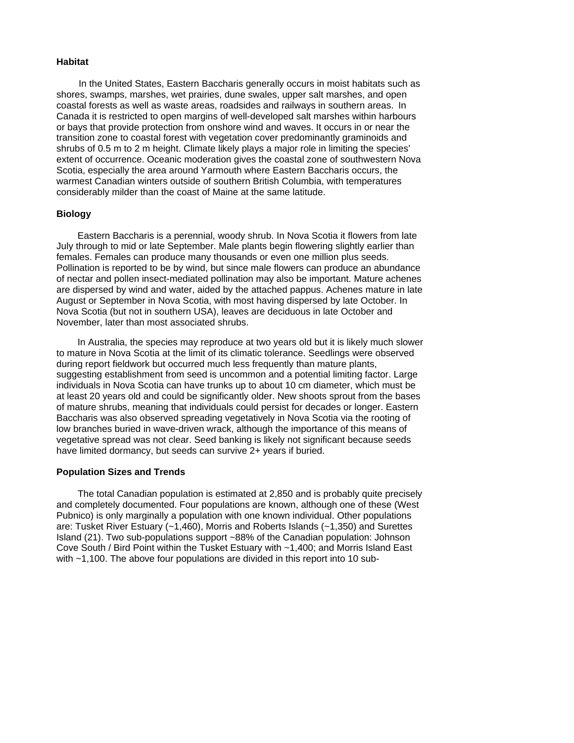#### **Habitat**

In the United States, Eastern Baccharis generally occurs in moist habitats such as shores, swamps, marshes, wet prairies, dune swales, upper salt marshes, and open coastal forests as well as waste areas, roadsides and railways in southern areas. In Canada it is restricted to open margins of well-developed salt marshes within harbours or bays that provide protection from onshore wind and waves. It occurs in or near the transition zone to coastal forest with vegetation cover predominantly graminoids and shrubs of 0.5 m to 2 m height. Climate likely plays a major role in limiting the species' extent of occurrence. Oceanic moderation gives the coastal zone of southwestern Nova Scotia, especially the area around Yarmouth where Eastern Baccharis occurs, the warmest Canadian winters outside of southern British Columbia, with temperatures considerably milder than the coast of Maine at the same latitude.

## **Biology**

Eastern Baccharis is a perennial, woody shrub. In Nova Scotia it flowers from late July through to mid or late September. Male plants begin flowering slightly earlier than females. Females can produce many thousands or even one million plus seeds. Pollination is reported to be by wind, but since male flowers can produce an abundance of nectar and pollen insect-mediated pollination may also be important. Mature achenes are dispersed by wind and water, aided by the attached pappus. Achenes mature in late August or September in Nova Scotia, with most having dispersed by late October. In Nova Scotia (but not in southern USA), leaves are deciduous in late October and November, later than most associated shrubs.

In Australia, the species may reproduce at two years old but it is likely much slower to mature in Nova Scotia at the limit of its climatic tolerance. Seedlings were observed during report fieldwork but occurred much less frequently than mature plants, suggesting establishment from seed is uncommon and a potential limiting factor. Large individuals in Nova Scotia can have trunks up to about 10 cm diameter, which must be at least 20 years old and could be significantly older. New shoots sprout from the bases of mature shrubs, meaning that individuals could persist for decades or longer. Eastern Baccharis was also observed spreading vegetatively in Nova Scotia via the rooting of low branches buried in wave-driven wrack, although the importance of this means of vegetative spread was not clear. Seed banking is likely not significant because seeds have limited dormancy, but seeds can survive 2+ years if buried.

#### **Population Sizes and Trends**

The total Canadian population is estimated at 2,850 and is probably quite precisely and completely documented. Four populations are known, although one of these (West Pubnico) is only marginally a population with one known individual. Other populations are: Tusket River Estuary (~1,460), Morris and Roberts Islands (~1,350) and Surettes Island (21). Two sub-populations support ~88% of the Canadian population: Johnson Cove South / Bird Point within the Tusket Estuary with ~1,400; and Morris Island East with ~1,100. The above four populations are divided in this report into 10 sub-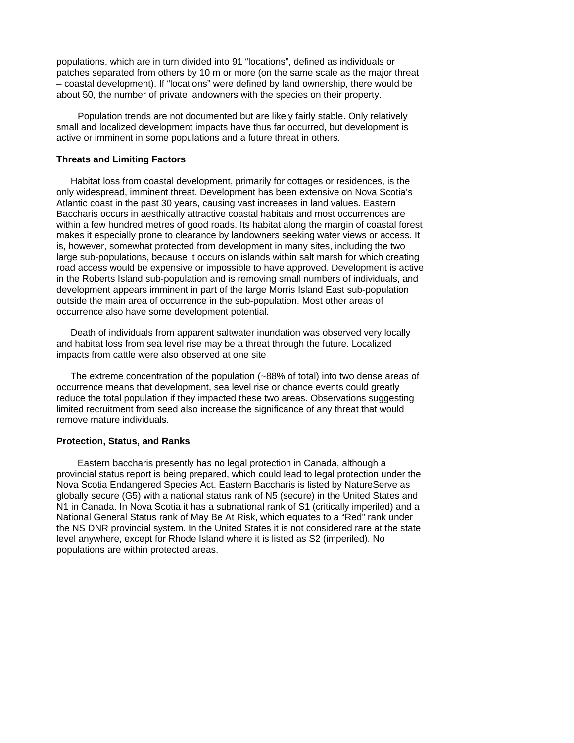populations, which are in turn divided into 91 "locations", defined as individuals or patches separated from others by 10 m or more (on the same scale as the major threat – coastal development). If "locations" were defined by land ownership, there would be about 50, the number of private landowners with the species on their property.

Population trends are not documented but are likely fairly stable. Only relatively small and localized development impacts have thus far occurred, but development is active or imminent in some populations and a future threat in others.

#### **Threats and Limiting Factors**

 Habitat loss from coastal development, primarily for cottages or residences, is the only widespread, imminent threat. Development has been extensive on Nova Scotia's Atlantic coast in the past 30 years, causing vast increases in land values. Eastern Baccharis occurs in aesthically attractive coastal habitats and most occurrences are within a few hundred metres of good roads. Its habitat along the margin of coastal forest makes it especially prone to clearance by landowners seeking water views or access. It is, however, somewhat protected from development in many sites, including the two large sub-populations, because it occurs on islands within salt marsh for which creating road access would be expensive or impossible to have approved. Development is active in the Roberts Island sub-population and is removing small numbers of individuals, and development appears imminent in part of the large Morris Island East sub-population outside the main area of occurrence in the sub-population. Most other areas of occurrence also have some development potential.

 Death of individuals from apparent saltwater inundation was observed very locally and habitat loss from sea level rise may be a threat through the future. Localized impacts from cattle were also observed at one site

 The extreme concentration of the population (~88% of total) into two dense areas of occurrence means that development, sea level rise or chance events could greatly reduce the total population if they impacted these two areas. Observations suggesting limited recruitment from seed also increase the significance of any threat that would remove mature individuals.

#### **Protection, Status, and Ranks**

Eastern baccharis presently has no legal protection in Canada, although a provincial status report is being prepared, which could lead to legal protection under the Nova Scotia Endangered Species Act. Eastern Baccharis is listed by NatureServe as globally secure (G5) with a national status rank of N5 (secure) in the United States and N1 in Canada. In Nova Scotia it has a subnational rank of S1 (critically imperiled) and a National General Status rank of May Be At Risk, which equates to a "Red" rank under the NS DNR provincial system. In the United States it is not considered rare at the state level anywhere, except for Rhode Island where it is listed as S2 (imperiled). No populations are within protected areas.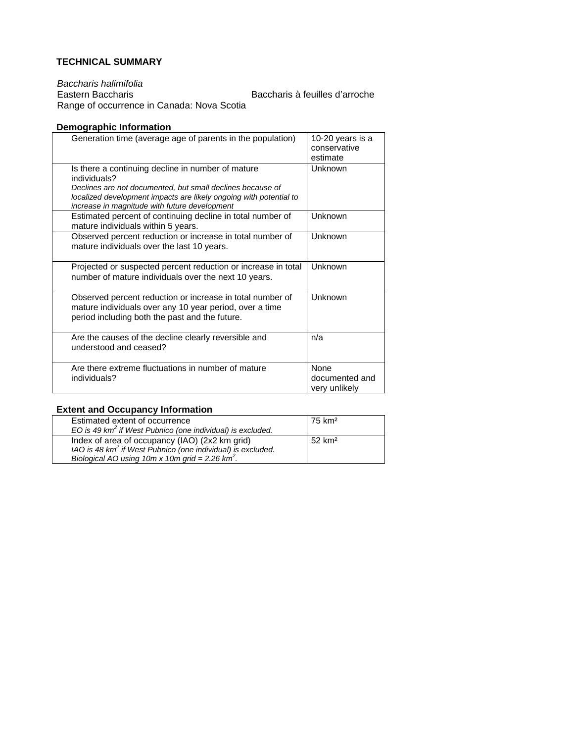# <span id="page-4-0"></span>**TECHNICAL SUMMARY**

*Baccharis halimifolia*  Baccharis à feuilles d'arroche Range of occurrence in Canada: Nova Scotia

# **Demographic Information**

| Generation time (average age of parents in the population)                                                                                                                                                                                             | 10-20 years is a<br>conservative<br>estimate |
|--------------------------------------------------------------------------------------------------------------------------------------------------------------------------------------------------------------------------------------------------------|----------------------------------------------|
| Is there a continuing decline in number of mature<br>individuals?<br>Declines are not documented, but small declines because of<br>localized development impacts are likely ongoing with potential to<br>increase in magnitude with future development | Unknown                                      |
| Estimated percent of continuing decline in total number of<br>mature individuals within 5 years.                                                                                                                                                       | Unknown                                      |
| Observed percent reduction or increase in total number of<br>mature individuals over the last 10 years.                                                                                                                                                | Unknown                                      |
| Projected or suspected percent reduction or increase in total<br>number of mature individuals over the next 10 years.                                                                                                                                  | Unknown                                      |
| Observed percent reduction or increase in total number of<br>mature individuals over any 10 year period, over a time<br>period including both the past and the future.                                                                                 | Unknown                                      |
| Are the causes of the decline clearly reversible and<br>understood and ceased?                                                                                                                                                                         | n/a                                          |
| Are there extreme fluctuations in number of mature<br>individuals?                                                                                                                                                                                     | None<br>documented and<br>very unlikely      |

# **Extent and Occupancy Information**

| Estimated extent of occurrence<br>EO is 49 $km^2$ if West Pubnico (one individual) is excluded.                                                                                 | 75 km <sup>2</sup> |
|---------------------------------------------------------------------------------------------------------------------------------------------------------------------------------|--------------------|
| Index of area of occupancy (IAO) (2x2 km grid)<br>IAO is 48 km <sup>2</sup> if West Pubnico (one individual) is excluded.<br>Biological AO using 10m x 10m grid = 2.26 $km^2$ . | $52 \text{ km}^2$  |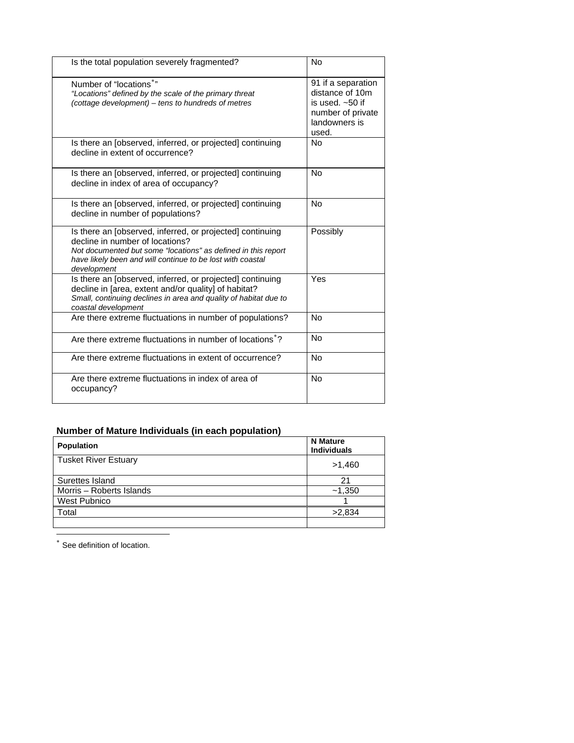| Is the total population severely fragmented?                                                                                                                                                                                               | No                                                                                                        |
|--------------------------------------------------------------------------------------------------------------------------------------------------------------------------------------------------------------------------------------------|-----------------------------------------------------------------------------------------------------------|
| Number of "locations*"<br>"Locations" defined by the scale of the primary threat<br>(cottage development) – tens to hundreds of metres                                                                                                     | 91 if a separation<br>distance of 10m<br>is used. $~50$ if<br>number of private<br>landowners is<br>used. |
| Is there an [observed, inferred, or projected] continuing<br>decline in extent of occurrence?                                                                                                                                              | <b>No</b>                                                                                                 |
| Is there an [observed, inferred, or projected] continuing<br>decline in index of area of occupancy?                                                                                                                                        | No                                                                                                        |
| Is there an [observed, inferred, or projected] continuing<br>decline in number of populations?                                                                                                                                             | <b>No</b>                                                                                                 |
| Is there an [observed, inferred, or projected] continuing<br>decline in number of locations?<br>Not documented but some "locations" as defined in this report<br>have likely been and will continue to be lost with coastal<br>development | Possibly                                                                                                  |
| Is there an [observed, inferred, or projected] continuing<br>decline in [area, extent and/or quality] of habitat?<br>Small, continuing declines in area and quality of habitat due to<br>coastal development                               | Yes                                                                                                       |
| Are there extreme fluctuations in number of populations?                                                                                                                                                                                   | <b>No</b>                                                                                                 |
| Are there extreme fluctuations in number of locations*?                                                                                                                                                                                    | <b>No</b>                                                                                                 |
| Are there extreme fluctuations in extent of occurrence?                                                                                                                                                                                    | <b>No</b>                                                                                                 |
| Are there extreme fluctuations in index of area of<br>occupancy?                                                                                                                                                                           | <b>No</b>                                                                                                 |

# **Number of Mature Individuals (in each population)**

| <b>Population</b>           | <b>N</b> Mature<br><b>Individuals</b> |
|-----------------------------|---------------------------------------|
| <b>Tusket River Estuary</b> | >1,460                                |
| Surettes Island             | 21                                    |
| Morris - Roberts Islands    | ~1,350                                |
| West Pubnico                |                                       |
| Total                       | >2,834                                |
|                             |                                       |

<span id="page-5-1"></span><span id="page-5-0"></span>See definition of location.

1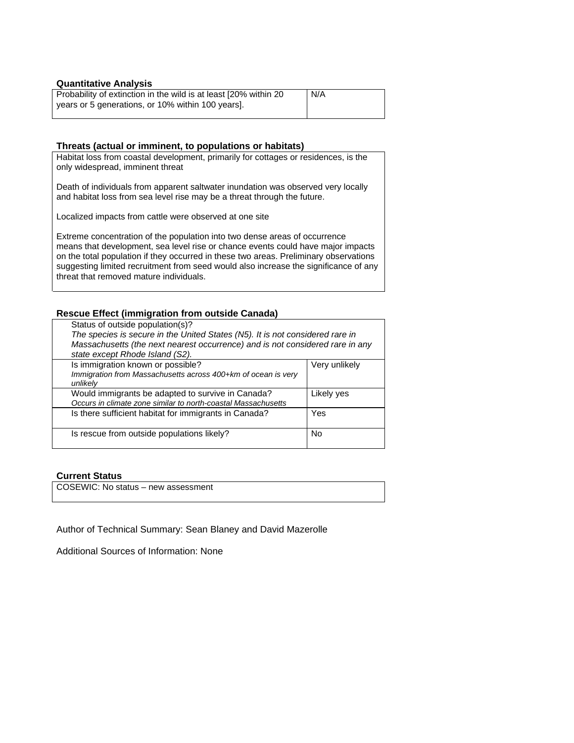#### **Quantitative Analysis**

| Probability of extinction in the wild is at least [20% within 20] | N/A |
|-------------------------------------------------------------------|-----|
| years or 5 generations, or 10% within 100 years].                 |     |

#### **Threats (actual or imminent, to populations or habitats)**

Habitat loss from coastal development, primarily for cottages or residences, is the only widespread, imminent threat

Death of individuals from apparent saltwater inundation was observed very locally and habitat loss from sea level rise may be a threat through the future.

Localized impacts from cattle were observed at one site

Extreme concentration of the population into two dense areas of occurrence means that development, sea level rise or chance events could have major impacts on the total population if they occurred in these two areas. Preliminary observations suggesting limited recruitment from seed would also increase the significance of any threat that removed mature individuals.

## **Rescue Effect (immigration from outside Canada)**

| Status of outside population(s)?<br>The species is secure in the United States (N5). It is not considered rare in<br>Massachusetts (the next nearest occurrence) and is not considered rare in any<br>state except Rhode Island (S2). |               |
|---------------------------------------------------------------------------------------------------------------------------------------------------------------------------------------------------------------------------------------|---------------|
| Is immigration known or possible?<br>Immigration from Massachusetts across 400+km of ocean is very<br>unlikelv                                                                                                                        | Very unlikely |
| Would immigrants be adapted to survive in Canada?<br>Occurs in climate zone similar to north-coastal Massachusetts                                                                                                                    | Likely yes    |
| Is there sufficient habitat for immigrants in Canada?                                                                                                                                                                                 | Yes           |
| Is rescue from outside populations likely?                                                                                                                                                                                            | No            |

#### **Current Status**

COSEWIC: No status – new assessment

Author of Technical Summary: Sean Blaney and David Mazerolle

Additional Sources of Information: None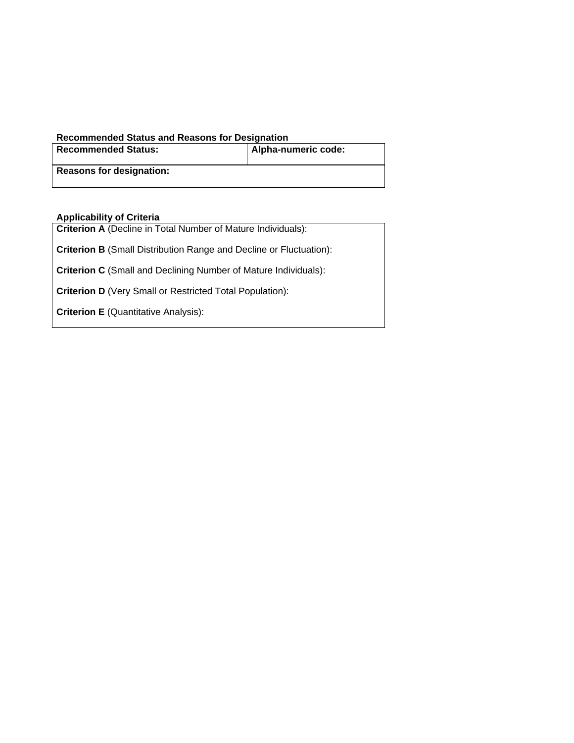# **Recommended Status and Reasons for Designation**

| <b>Recommended Status:</b>      | Alpha-numeric code: |
|---------------------------------|---------------------|
| <b>Reasons for designation:</b> |                     |

# **Applicability of Criteria**

| <b>Criterion A</b> (Decline in Total Number of Mature Individuals):       |
|---------------------------------------------------------------------------|
| <b>Criterion B</b> (Small Distribution Range and Decline or Fluctuation): |
| <b>Criterion C</b> (Small and Declining Number of Mature Individuals):    |
| <b>Criterion D</b> (Very Small or Restricted Total Population):           |
| <b>Criterion E</b> (Quantitative Analysis):                               |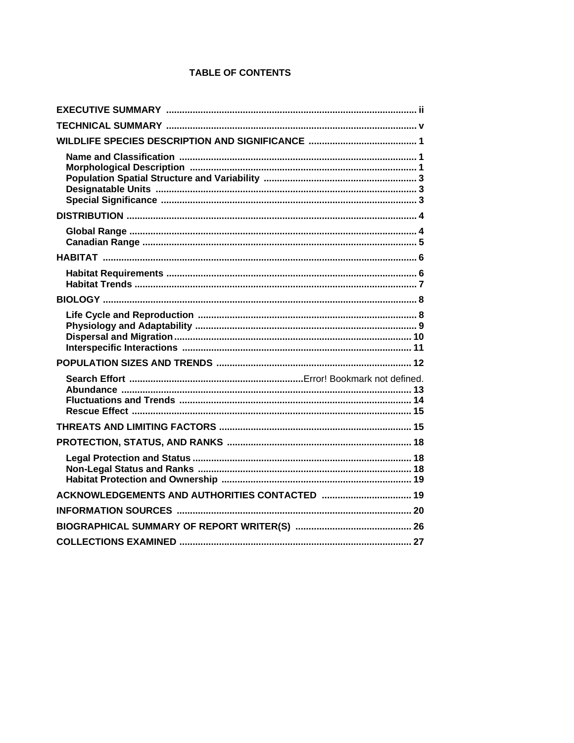# **TABLE OF CONTENTS**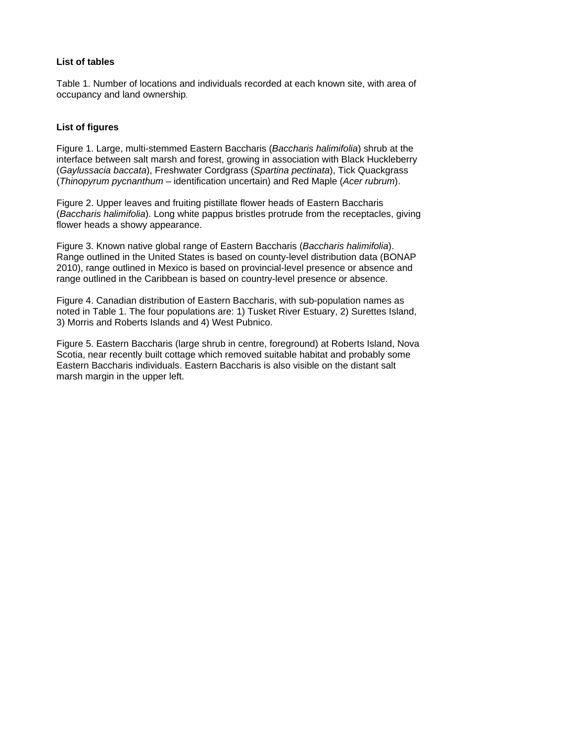# **List of tables**

Table 1. Number of locations and individuals recorded at each known site, with area of occupancy and land ownership.

## **List of figures**

Figure 1. Large, multi-stemmed Eastern Baccharis (*Baccharis halimifolia*) shrub at the interface between salt marsh and forest, growing in association with Black Huckleberry (*Gaylussacia baccata*), Freshwater Cordgrass (*Spartina pectinata*), Tick Quackgrass (*Thinopyrum pycnanthum* – identification uncertain) and Red Maple (*Acer rubrum*).

Figure 2. Upper leaves and fruiting pistillate flower heads of Eastern Baccharis (*Baccharis halimifolia*). Long white pappus bristles protrude from the receptacles, giving flower heads a showy appearance.

Figure 3. Known native global range of Eastern Baccharis (*Baccharis halimifolia*). Range outlined in the United States is based on county-level distribution data (BONAP 2010), range outlined in Mexico is based on provincial-level presence or absence and range outlined in the Caribbean is based on country-level presence or absence.

Figure 4. Canadian distribution of Eastern Baccharis, with sub-population names as noted in Table 1. The four populations are: 1) Tusket River Estuary, 2) Surettes Island, 3) Morris and Roberts Islands and 4) West Pubnico.

Figure 5. Eastern Baccharis (large shrub in centre, foreground) at Roberts Island, Nova Scotia, near recently built cottage which removed suitable habitat and probably some Eastern Baccharis individuals. Eastern Baccharis is also visible on the distant salt marsh margin in the upper left.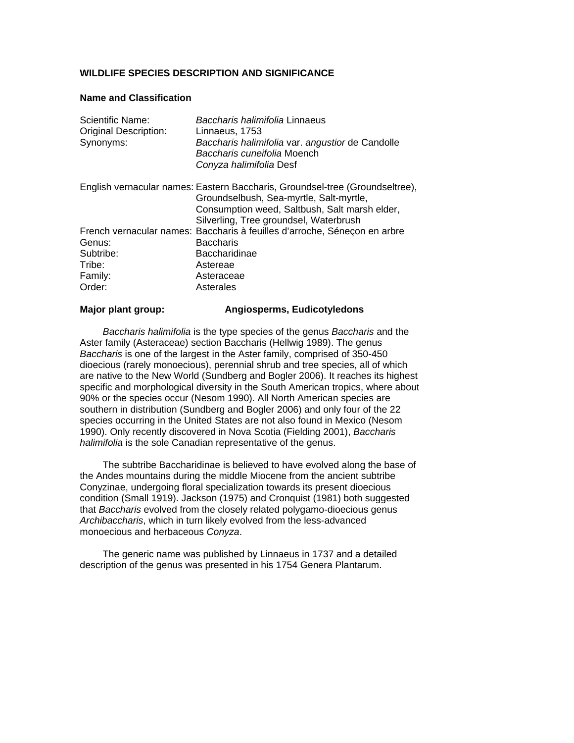# <span id="page-10-0"></span>**WILDLIFE SPECIES DESCRIPTION AND SIGNIFICANCE**

## **Name and Classification**

<span id="page-10-1"></span>

| Scientific Name:             | Baccharis halimifolia Linnaeus                                               |
|------------------------------|------------------------------------------------------------------------------|
| <b>Original Description:</b> | Linnaeus, 1753                                                               |
| Synonyms:                    | Baccharis halimifolia var. angustior de Candolle                             |
|                              | Baccharis cuneifolia Moench                                                  |
|                              | Conyza halimifolia Desf                                                      |
|                              | English vernacular names: Eastern Baccharis, Groundsel-tree (Groundseltree), |
|                              | Groundselbush, Sea-myrtle, Salt-myrtle,                                      |
|                              | Consumption weed, Saltbush, Salt marsh elder,                                |
|                              | Silverling, Tree groundsel, Waterbrush                                       |
|                              | French vernacular names: Baccharis à feuilles d'arroche, Séneçon en arbre    |
| Genus:                       | <b>Baccharis</b>                                                             |
| Subtribe:                    | <b>Baccharidinae</b>                                                         |
| Tribe:                       | Astereae                                                                     |
| Family:                      | Asteraceae                                                                   |
| Order:                       | Asterales                                                                    |

# **Major plant group: Angiosperms, Eudicotyledons**

*Baccharis halimifolia* is the type species of the genus *Baccharis* and the Aster family (Asteraceae) section Baccharis (Hellwig 1989). The genus *Baccharis* is one of the largest in the Aster family, comprised of 350-450 dioecious (rarely monoecious), perennial shrub and tree species, all of which are native to the New World (Sundberg and Bogler 2006). It reaches its highest specific and morphological diversity in the South American tropics, where about 90% or the species occur (Nesom 1990). All North American species are southern in distribution (Sundberg and Bogler 2006) and only four of the 22 species occurring in the United States are not also found in Mexico (Nesom 1990). Only recently discovered in Nova Scotia (Fielding 2001), *Baccharis halimifolia* is the sole Canadian representative of the genus.

The subtribe Baccharidinae is believed to have evolved along the base of the Andes mountains during the middle Miocene from the ancient subtribe Conyzinae, undergoing floral specialization towards its present dioecious condition (Small 1919). Jackson (1975) and Cronquist (1981) both suggested that *Baccharis* evolved from the closely related polygamo-dioecious genus *Archibaccharis*, which in turn likely evolved from the less-advanced monoecious and herbaceous *Conyza*.

The generic name was published by Linnaeus in 1737 and a detailed description of the genus was presented in his 1754 Genera Plantarum.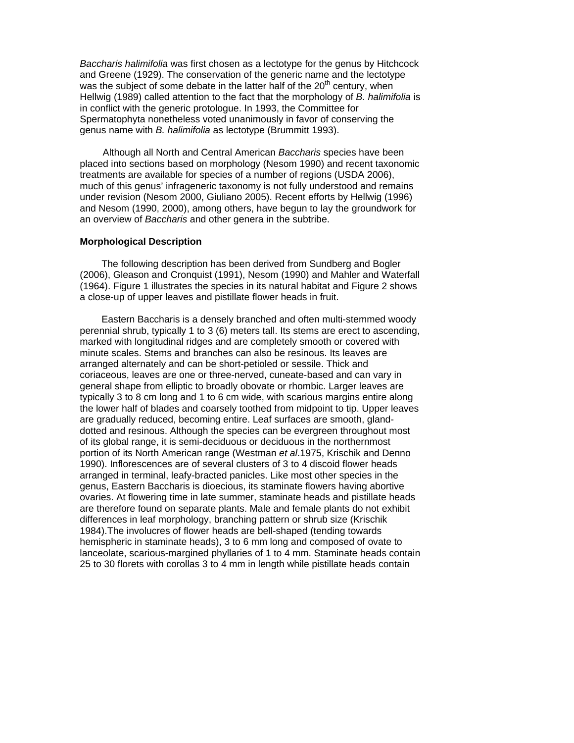*Baccharis halimifolia* was first chosen as a lectotype for the genus by Hitchcock and Greene (1929). The conservation of the generic name and the lectotype was the subject of some debate in the latter half of the  $20<sup>th</sup>$  century, when Hellwig (1989) called attention to the fact that the morphology of *B. halimifolia* is in conflict with the generic protologue. In 1993, the Committee for Spermatophyta nonetheless voted unanimously in favor of conserving the genus name with *B. halimifolia* as lectotype (Brummitt 1993).

Although all North and Central American *Baccharis* species have been placed into sections based on morphology (Nesom 1990) and recent taxonomic treatments are available for species of a number of regions (USDA 2006), much of this genus' infrageneric taxonomy is not fully understood and remains under revision (Nesom 2000, Giuliano 2005). Recent efforts by Hellwig (1996) and Nesom (1990, 2000), among others, have begun to lay the groundwork for an overview of *Baccharis* and other genera in the subtribe.

#### **Morphological Description**

The following description has been derived from Sundberg and Bogler (2006), Gleason and Cronquist (1991), Nesom (1990) and Mahler and Waterfall (1964). Figure 1 illustrates the species in its natural habitat and Figure 2 shows a close-up of upper leaves and pistillate flower heads in fruit.

<span id="page-11-0"></span>Eastern Baccharis is a densely branched and often multi-stemmed woody perennial shrub, typically 1 to 3 (6) meters tall. Its stems are erect to ascending, marked with longitudinal ridges and are completely smooth or covered with minute scales. Stems and branches can also be resinous. Its leaves are arranged alternately and can be short-petioled or sessile. Thick and coriaceous, leaves are one or three-nerved, cuneate-based and can vary in general shape from elliptic to broadly obovate or rhombic. Larger leaves are typically 3 to 8 cm long and 1 to 6 cm wide, with scarious margins entire along the lower half of blades and coarsely toothed from midpoint to tip. Upper leaves are gradually reduced, becoming entire. Leaf surfaces are smooth, glanddotted and resinous. Although the species can be evergreen throughout most of its global range, it is semi-deciduous or deciduous in the northernmost portion of its North American range (Westman *et al*.1975, Krischik and Denno 1990). Inflorescences are of several clusters of 3 to 4 discoid flower heads arranged in terminal, leafy-bracted panicles. Like most other species in the genus, Eastern Baccharis is dioecious, its staminate flowers having abortive ovaries. At flowering time in late summer, staminate heads and pistillate heads are therefore found on separate plants. Male and female plants do not exhibit differences in leaf morphology, branching pattern or shrub size (Krischik 1984).The involucres of flower heads are bell-shaped (tending towards hemispheric in staminate heads), 3 to 6 mm long and composed of ovate to lanceolate, scarious-margined phyllaries of 1 to 4 mm. Staminate heads contain 25 to 30 florets with corollas 3 to 4 mm in length while pistillate heads contain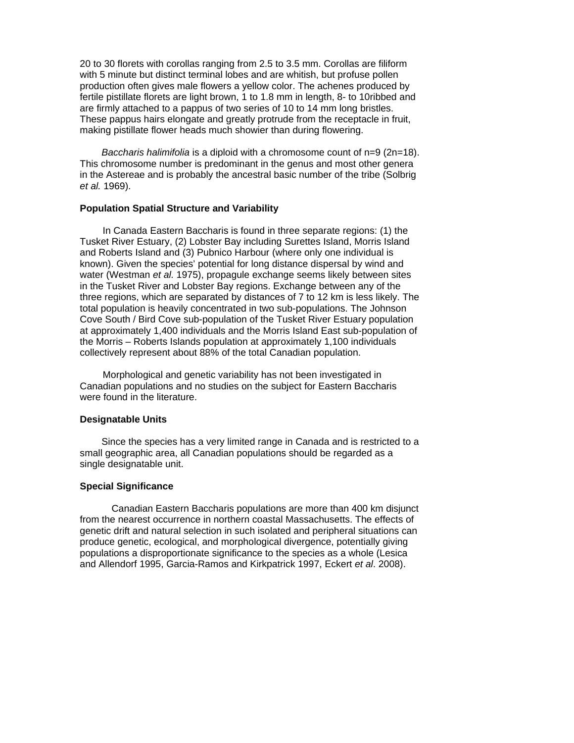20 to 30 florets with corollas ranging from 2.5 to 3.5 mm. Corollas are filiform with 5 minute but distinct terminal lobes and are whitish, but profuse pollen production often gives male flowers a yellow color. The achenes produced by fertile pistillate florets are light brown, 1 to 1.8 mm in length, 8- to 10ribbed and are firmly attached to a pappus of two series of 10 to 14 mm long bristles. These pappus hairs elongate and greatly protrude from the receptacle in fruit, making pistillate flower heads much showier than during flowering.

*Baccharis halimifolia* is a diploid with a chromosome count of n=9 (2n=18). This chromosome number is predominant in the genus and most other genera in the Astereae and is probably the ancestral basic number of the tribe (Solbrig *et al.* 1969).

#### **Population Spatial Structure and Variability**

<span id="page-12-0"></span>In Canada Eastern Baccharis is found in three separate regions: (1) the Tusket River Estuary, (2) Lobster Bay including Surettes Island, Morris Island and Roberts Island and (3) Pubnico Harbour (where only one individual is known). Given the species' potential for long distance dispersal by wind and water (Westman *et al.* 1975), propagule exchange seems likely between sites in the Tusket River and Lobster Bay regions. Exchange between any of the three regions, which are separated by distances of 7 to 12 km is less likely. The total population is heavily concentrated in two sub-populations. The Johnson Cove South / Bird Cove sub-population of the Tusket River Estuary population at approximately 1,400 individuals and the Morris Island East sub-population of the Morris – Roberts Islands population at approximately 1,100 individuals collectively represent about 88% of the total Canadian population.

<span id="page-12-1"></span>Morphological and genetic variability has not been investigated in Canadian populations and no studies on the subject for Eastern Baccharis were found in the literature.

# **Designatable Units**

Since the species has a very limited range in Canada and is restricted to a small geographic area, all Canadian populations should be regarded as a single designatable unit.

# **Special Significance**

<span id="page-12-2"></span> Canadian Eastern Baccharis populations are more than 400 km disjunct from the nearest occurrence in northern coastal Massachusetts. The effects of genetic drift and natural selection in such isolated and peripheral situations can produce genetic, ecological, and morphological divergence, potentially giving populations a disproportionate significance to the species as a whole (Lesica and Allendorf 1995, Garcia-Ramos and Kirkpatrick 1997, Eckert *et al*. 2008).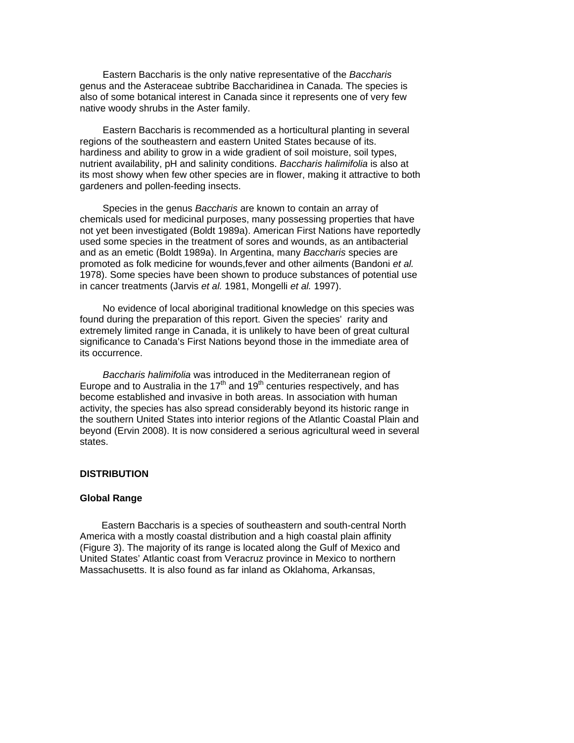Eastern Baccharis is the only native representative of the *Baccharis* genus and the Asteraceae subtribe Baccharidinea in Canada. The species is also of some botanical interest in Canada since it represents one of very few native woody shrubs in the Aster family.

Eastern Baccharis is recommended as a horticultural planting in several regions of the southeastern and eastern United States because of its. hardiness and ability to grow in a wide gradient of soil moisture, soil types, nutrient availability, pH and salinity conditions. *Baccharis halimifolia* is also at its most showy when few other species are in flower, making it attractive to both gardeners and pollen-feeding insects.

Species in the genus *Baccharis* are known to contain an array of chemicals used for medicinal purposes, many possessing properties that have not yet been investigated (Boldt 1989a). American First Nations have reportedly used some species in the treatment of sores and wounds, as an antibacterial and as an emetic (Boldt 1989a). In Argentina, many *Baccharis* species are promoted as folk medicine for wounds,fever and other ailments (Bandoni *et al.* 1978). Some species have been shown to produce substances of potential use in cancer treatments (Jarvis *et al.* 1981, Mongelli *et al.* 1997).

No evidence of local aboriginal traditional knowledge on this species was found during the preparation of this report. Given the species' rarity and extremely limited range in Canada, it is unlikely to have been of great cultural significance to Canada's First Nations beyond those in the immediate area of its occurrence.

*Baccharis halimifolia* was introduced in the Mediterranean region of Europe and to Australia in the  $17<sup>th</sup>$  and  $19<sup>th</sup>$  centuries respectively, and has become established and invasive in both areas. In association with human activity, the species has also spread considerably beyond its historic range in the southern United States into interior regions of the Atlantic Coastal Plain and beyond (Ervin 2008). It is now considered a serious agricultural weed in several states.

#### **DISTRIBUTION**

#### **Global Range**

<span id="page-13-1"></span><span id="page-13-0"></span>Eastern Baccharis is a species of southeastern and south-central North America with a mostly coastal distribution and a high coastal plain affinity (Figure 3). The majority of its range is located along the Gulf of Mexico and United States' Atlantic coast from Veracruz province in Mexico to northern Massachusetts. It is also found as far inland as Oklahoma, Arkansas,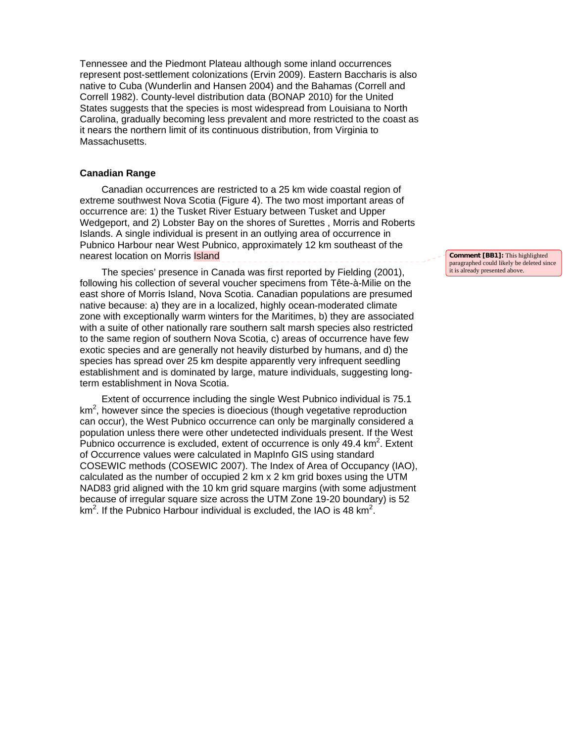Tennessee and the Piedmont Plateau although some inland occurrences represent post-settlement colonizations (Ervin 2009). Eastern Baccharis is also native to Cuba (Wunderlin and Hansen 2004) and the Bahamas (Correll and Correll 1982). County-level distribution data (BONAP 2010) for the United States suggests that the species is most widespread from Louisiana to North Carolina, gradually becoming less prevalent and more restricted to the coast as it nears the northern limit of its continuous distribution, from Virginia to Massachusetts.

#### **Canadian Range**

<span id="page-14-0"></span>Canadian occurrences are restricted to a 25 km wide coastal region of extreme southwest Nova Scotia (Figure 4). The two most important areas of occurrence are: 1) the Tusket River Estuary between Tusket and Upper Wedgeport, and 2) Lobster Bay on the shores of Surettes , Morris and Roberts Islands. A single individual is present in an outlying area of occurrence in Pubnico Harbour near West Pubnico, approximately 12 km southeast of the nearest location on Morris **Island** 

The species' presence in Canada was first reported by Fielding (2001), following his collection of several voucher specimens from Tête-à-Milie on the east shore of Morris Island, Nova Scotia. Canadian populations are presumed native because: a) they are in a localized, highly ocean-moderated climate zone with exceptionally warm winters for the Maritimes, b) they are associated with a suite of other nationally rare southern salt marsh species also restricted to the same region of southern Nova Scotia, c) areas of occurrence have few exotic species and are generally not heavily disturbed by humans, and d) the species has spread over 25 km despite apparently very infrequent seedling establishment and is dominated by large, mature individuals, suggesting longterm establishment in Nova Scotia.

Extent of occurrence including the single West Pubnico individual is 75.1  $km<sup>2</sup>$ , however since the species is dioecious (though vegetative reproduction can occur), the West Pubnico occurrence can only be marginally considered a population unless there were other undetected individuals present. If the West Pubnico occurrence is excluded, extent of occurrence is only  $49.4 \text{ km}^2$ . Extent of Occurrence values were calculated in MapInfo GIS using standard COSEWIC methods (COSEWIC 2007). The Index of Area of Occupancy (IAO), calculated as the number of occupied 2 km x 2 km grid boxes using the UTM NAD83 grid aligned with the 10 km grid square margins (with some adjustment because of irregular square size across the UTM Zone 19-20 boundary) is 52 km<sup>2</sup>. If the Pubnico Harbour individual is excluded, the IAO is 48 km<sup>2</sup>.

**Comment [BB1]:** This highlighted paragraphed could likely be deleted since it is already presented above.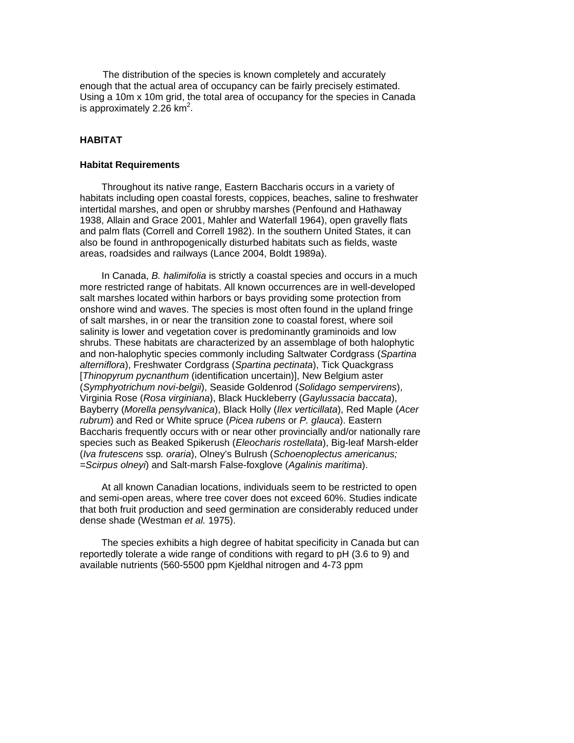The distribution of the species is known completely and accurately enough that the actual area of occupancy can be fairly precisely estimated. Using a 10m x 10m grid, the total area of occupancy for the species in Canada is approximately 2.26  $km^2$ .

# **HABITAT**

#### <span id="page-15-0"></span>**Habitat Requirements**

<span id="page-15-1"></span>Throughout its native range, Eastern Baccharis occurs in a variety of habitats including open coastal forests, coppices, beaches, saline to freshwater intertidal marshes, and open or shrubby marshes (Penfound and Hathaway 1938, Allain and Grace 2001, Mahler and Waterfall 1964), open gravelly flats and palm flats (Correll and Correll 1982). In the southern United States, it can also be found in anthropogenically disturbed habitats such as fields, waste areas, roadsides and railways (Lance 2004, Boldt 1989a).

In Canada, *B. halimifolia* is strictly a coastal species and occurs in a much more restricted range of habitats. All known occurrences are in well-developed salt marshes located within harbors or bays providing some protection from onshore wind and waves. The species is most often found in the upland fringe of salt marshes, in or near the transition zone to coastal forest, where soil salinity is lower and vegetation cover is predominantly graminoids and low shrubs. These habitats are characterized by an assemblage of both halophytic and non-halophytic species commonly including Saltwater Cordgrass (*Spartina alterniflora*), Freshwater Cordgrass (*Spartina pectinata*), Tick Quackgrass [*Thinopyrum pycnanthum* (identification uncertain)], New Belgium aster (*Symphyotrichum novi-belgii*), Seaside Goldenrod (*Solidago sempervirens*), Virginia Rose (*Rosa virginiana*), Black Huckleberry (*Gaylussacia baccata*), Bayberry (*Morella pensylvanica*), Black Holly (*Ilex verticillata*), Red Maple (*Acer rubrum*) and Red or White spruce (*Picea rubens* or *P. glauca*). Eastern Baccharis frequently occurs with or near other provincially and/or nationally rare species such as Beaked Spikerush (*Eleocharis rostellata*), Big-leaf Marsh-elder (*Iva frutescens* ssp*. oraria*), Olney's Bulrush (*Schoenoplectus americanus; =Scirpus olneyi*) and Salt-marsh False-foxglove (*Agalinis maritima*).

At all known Canadian locations, individuals seem to be restricted to open and semi-open areas, where tree cover does not exceed 60%. Studies indicate that both fruit production and seed germination are considerably reduced under dense shade (Westman *et al.* 1975).

The species exhibits a high degree of habitat specificity in Canada but can reportedly tolerate a wide range of conditions with regard to pH (3.6 to 9) and available nutrients (560-5500 ppm Kjeldhal nitrogen and 4-73 ppm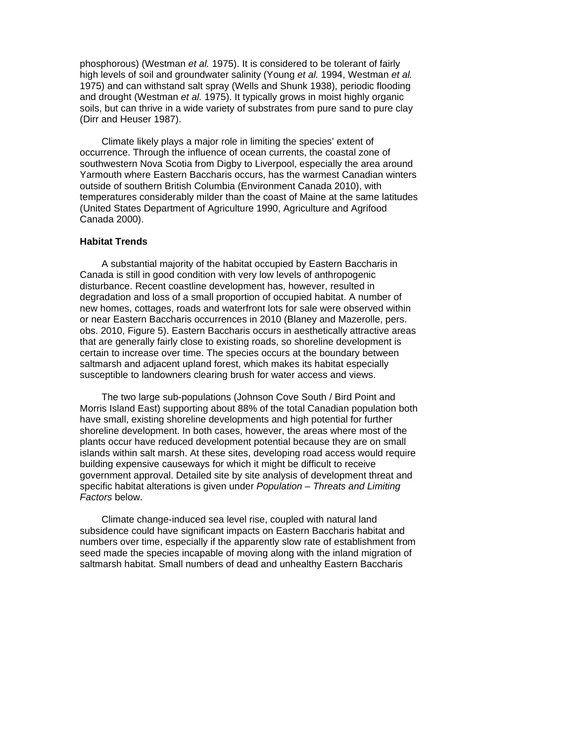phosphorous) (Westman *et al.* 1975). It is considered to be tolerant of fairly high levels of soil and groundwater salinity (Young *et al.* 1994, Westman *et al.* 1975) and can withstand salt spray (Wells and Shunk 1938), periodic flooding and drought (Westman *et al.* 1975). It typically grows in moist highly organic soils, but can thrive in a wide variety of substrates from pure sand to pure clay (Dirr and Heuser 1987).

Climate likely plays a major role in limiting the species' extent of occurrence. Through the influence of ocean currents, the coastal zone of southwestern Nova Scotia from Digby to Liverpool, especially the area around Yarmouth where Eastern Baccharis occurs, has the warmest Canadian winters outside of southern British Columbia (Environment Canada 2010), with temperatures considerably milder than the coast of Maine at the same latitudes (United States Department of Agriculture 1990, Agriculture and Agrifood Canada 2000).

#### **Habitat Trends**

<span id="page-16-0"></span>A substantial majority of the habitat occupied by Eastern Baccharis in Canada is still in good condition with very low levels of anthropogenic disturbance. Recent coastline development has, however, resulted in degradation and loss of a small proportion of occupied habitat. A number of new homes, cottages, roads and waterfront lots for sale were observed within or near Eastern Baccharis occurrences in 2010 (Blaney and Mazerolle, pers. obs. 2010, Figure 5). Eastern Baccharis occurs in aesthetically attractive areas that are generally fairly close to existing roads, so shoreline development is certain to increase over time. The species occurs at the boundary between saltmarsh and adjacent upland forest, which makes its habitat especially susceptible to landowners clearing brush for water access and views.

The two large sub-populations (Johnson Cove South / Bird Point and Morris Island East) supporting about 88% of the total Canadian population both have small, existing shoreline developments and high potential for further shoreline development. In both cases, however, the areas where most of the plants occur have reduced development potential because they are on small islands within salt marsh. At these sites, developing road access would require building expensive causeways for which it might be difficult to receive government approval. Detailed site by site analysis of development threat and specific habitat alterations is given under *Population – Threats and Limiting Factors* below.

Climate change-induced sea level rise, coupled with natural land subsidence could have significant impacts on Eastern Baccharis habitat and numbers over time, especially if the apparently slow rate of establishment from seed made the species incapable of moving along with the inland migration of saltmarsh habitat. Small numbers of dead and unhealthy Eastern Baccharis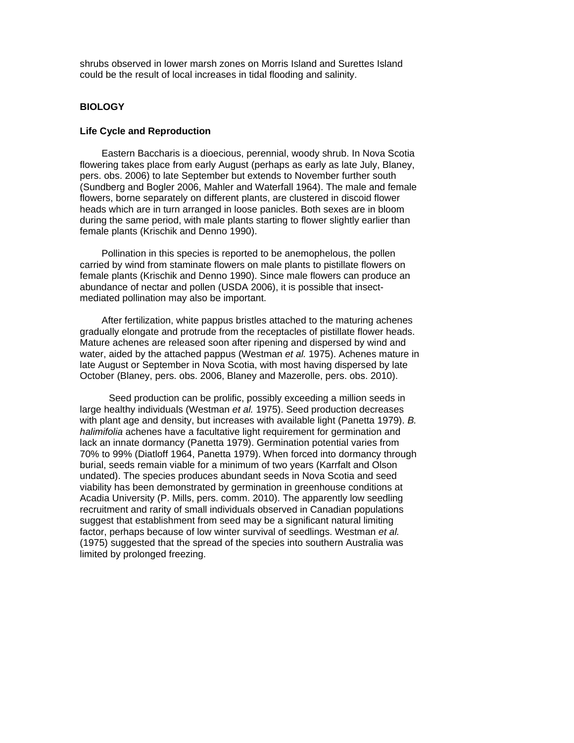shrubs observed in lower marsh zones on Morris Island and Surettes Island could be the result of local increases in tidal flooding and salinity.

### **BIOLOGY**

#### <span id="page-17-0"></span>**Life Cycle and Reproduction**

<span id="page-17-1"></span>Eastern Baccharis is a dioecious, perennial, woody shrub. In Nova Scotia flowering takes place from early August (perhaps as early as late July, Blaney, pers. obs. 2006) to late September but extends to November further south (Sundberg and Bogler 2006, Mahler and Waterfall 1964). The male and female flowers, borne separately on different plants, are clustered in discoid flower heads which are in turn arranged in loose panicles. Both sexes are in bloom during the same period, with male plants starting to flower slightly earlier than female plants (Krischik and Denno 1990).

Pollination in this species is reported to be anemophelous, the pollen carried by wind from staminate flowers on male plants to pistillate flowers on female plants (Krischik and Denno 1990). Since male flowers can produce an abundance of nectar and pollen (USDA 2006), it is possible that insectmediated pollination may also be important.

After fertilization, white pappus bristles attached to the maturing achenes gradually elongate and protrude from the receptacles of pistillate flower heads. Mature achenes are released soon after ripening and dispersed by wind and water, aided by the attached pappus (Westman *et al.* 1975). Achenes mature in late August or September in Nova Scotia, with most having dispersed by late October (Blaney, pers. obs. 2006, Blaney and Mazerolle, pers. obs. 2010).

Seed production can be prolific, possibly exceeding a million seeds in large healthy individuals (Westman *et al.* 1975). Seed production decreases with plant age and density, but increases with available light (Panetta 1979). *B. halimifolia* achenes have a facultative light requirement for germination and lack an innate dormancy (Panetta 1979). Germination potential varies from 70% to 99% (Diatloff 1964, Panetta 1979). When forced into dormancy through burial, seeds remain viable for a minimum of two years (Karrfalt and Olson undated). The species produces abundant seeds in Nova Scotia and seed viability has been demonstrated by germination in greenhouse conditions at Acadia University (P. Mills, pers. comm. 2010). The apparently low seedling recruitment and rarity of small individuals observed in Canadian populations suggest that establishment from seed may be a significant natural limiting factor, perhaps because of low winter survival of seedlings. Westman *et al.* (1975) suggested that the spread of the species into southern Australia was limited by prolonged freezing.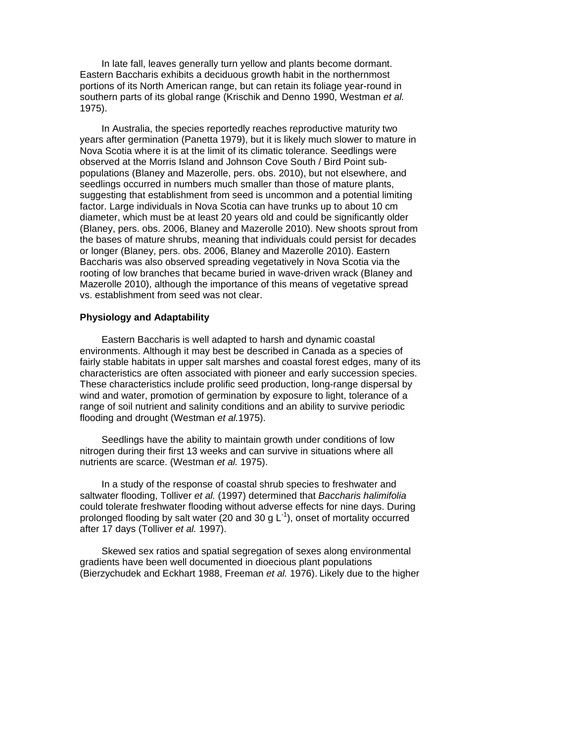In late fall, leaves generally turn yellow and plants become dormant. Eastern Baccharis exhibits a deciduous growth habit in the northernmost portions of its North American range, but can retain its foliage year-round in southern parts of its global range (Krischik and Denno 1990, Westman *et al.* 1975).

In Australia, the species reportedly reaches reproductive maturity two years after germination (Panetta 1979), but it is likely much slower to mature in Nova Scotia where it is at the limit of its climatic tolerance. Seedlings were observed at the Morris Island and Johnson Cove South / Bird Point subpopulations (Blaney and Mazerolle, pers. obs. 2010), but not elsewhere, and seedlings occurred in numbers much smaller than those of mature plants, suggesting that establishment from seed is uncommon and a potential limiting factor. Large individuals in Nova Scotia can have trunks up to about 10 cm diameter, which must be at least 20 years old and could be significantly older (Blaney, pers. obs. 2006, Blaney and Mazerolle 2010). New shoots sprout from the bases of mature shrubs, meaning that individuals could persist for decades or longer (Blaney, pers. obs. 2006, Blaney and Mazerolle 2010). Eastern Baccharis was also observed spreading vegetatively in Nova Scotia via the rooting of low branches that became buried in wave-driven wrack (Blaney and Mazerolle 2010), although the importance of this means of vegetative spread vs. establishment from seed was not clear.

#### **Physiology and Adaptability**

<span id="page-18-0"></span>Eastern Baccharis is well adapted to harsh and dynamic coastal environments. Although it may best be described in Canada as a species of fairly stable habitats in upper salt marshes and coastal forest edges, many of its characteristics are often associated with pioneer and early succession species. These characteristics include prolific seed production, long-range dispersal by wind and water, promotion of germination by exposure to light, tolerance of a range of soil nutrient and salinity conditions and an ability to survive periodic flooding and drought (Westman *et al.*1975).

Seedlings have the ability to maintain growth under conditions of low nitrogen during their first 13 weeks and can survive in situations where all nutrients are scarce. (Westman *et al.* 1975).

In a study of the response of coastal shrub species to freshwater and saltwater flooding, Tolliver *et al.* (1997) determined that *Baccharis halimifolia* could tolerate freshwater flooding without adverse effects for nine days. During prolonged flooding by salt water (20 and 30 g  $L^{-1}$ ), onset of mortality occurred after 17 days (Tolliver *et al.* 1997).

Skewed sex ratios and spatial segregation of sexes along environmental gradients have been well documented in dioecious plant populations (Bierzychudek and Eckhart 1988, Freeman *et al.* 1976). Likely due to the higher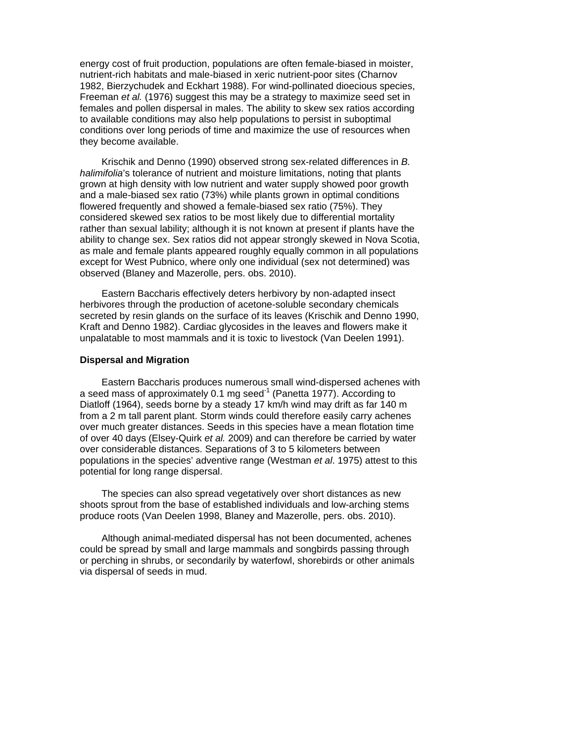energy cost of fruit production, populations are often female-biased in moister, nutrient-rich habitats and male-biased in xeric nutrient-poor sites (Charnov 1982, Bierzychudek and Eckhart 1988). For wind-pollinated dioecious species, Freeman *et al.* (1976) suggest this may be a strategy to maximize seed set in females and pollen dispersal in males. The ability to skew sex ratios according to available conditions may also help populations to persist in suboptimal conditions over long periods of time and maximize the use of resources when they become available.

Krischik and Denno (1990) observed strong sex-related differences in *B. halimifolia*'s tolerance of nutrient and moisture limitations, noting that plants grown at high density with low nutrient and water supply showed poor growth and a male-biased sex ratio (73%) while plants grown in optimal conditions flowered frequently and showed a female-biased sex ratio (75%). They considered skewed sex ratios to be most likely due to differential mortality rather than sexual lability; although it is not known at present if plants have the ability to change sex. Sex ratios did not appear strongly skewed in Nova Scotia, as male and female plants appeared roughly equally common in all populations except for West Pubnico, where only one individual (sex not determined) was observed (Blaney and Mazerolle, pers. obs. 2010).

Eastern Baccharis effectively deters herbivory by non-adapted insect herbivores through the production of acetone-soluble secondary chemicals secreted by resin glands on the surface of its leaves (Krischik and Denno 1990, Kraft and Denno 1982). Cardiac glycosides in the leaves and flowers make it unpalatable to most mammals and it is toxic to livestock (Van Deelen 1991).

# **Dispersal and Migration**

<span id="page-19-0"></span>Eastern Baccharis produces numerous small wind-dispersed achenes with a seed mass of approximately 0.1 mg seed<sup>-1</sup> (Panetta 1977). According to Diatloff (1964), seeds borne by a steady 17 km/h wind may drift as far 140 m from a 2 m tall parent plant. Storm winds could therefore easily carry achenes over much greater distances. Seeds in this species have a mean flotation time of over 40 days (Elsey-Quirk *et al.* 2009) and can therefore be carried by water over considerable distances. Separations of 3 to 5 kilometers between populations in the species' adventive range (Westman *et al*. 1975) attest to this potential for long range dispersal.

The species can also spread vegetatively over short distances as new shoots sprout from the base of established individuals and low-arching stems produce roots (Van Deelen 1998, Blaney and Mazerolle, pers. obs. 2010).

Although animal-mediated dispersal has not been documented, achenes could be spread by small and large mammals and songbirds passing through or perching in shrubs, or secondarily by waterfowl, shorebirds or other animals via dispersal of seeds in mud.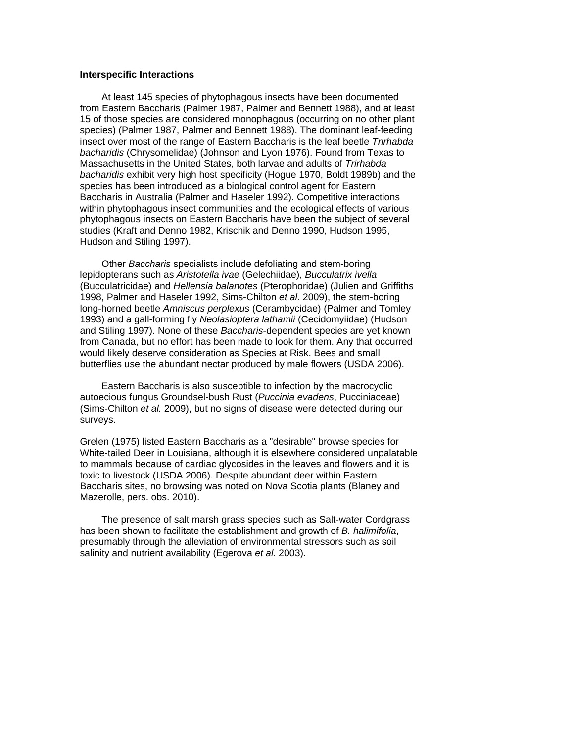#### <span id="page-20-0"></span>**Interspecific Interactions**

At least 145 species of phytophagous insects have been documented from Eastern Baccharis (Palmer 1987, Palmer and Bennett 1988), and at least 15 of those species are considered monophagous (occurring on no other plant species) (Palmer 1987, Palmer and Bennett 1988). The dominant leaf-feeding insect over most of the range of Eastern Baccharis is the leaf beetle *Trirhabda bacharidis* (Chrysomelidae) (Johnson and Lyon 1976). Found from Texas to Massachusetts in the United States, both larvae and adults of *Trirhabda bacharidis* exhibit very high host specificity (Hogue 1970, Boldt 1989b) and the species has been introduced as a biological control agent for Eastern Baccharis in Australia (Palmer and Haseler 1992). Competitive interactions within phytophagous insect communities and the ecological effects of various phytophagous insects on Eastern Baccharis have been the subject of several studies (Kraft and Denno 1982, Krischik and Denno 1990, Hudson 1995, Hudson and Stiling 1997).

Other *Baccharis* specialists include defoliating and stem-boring lepidopterans such as *Aristotella ivae* (Gelechiidae), *Bucculatrix ivella* (Bucculatricidae) and *Hellensia balanotes* (Pterophoridae) (Julien and Griffiths 1998, Palmer and Haseler 1992, Sims-Chilton *et al.* 2009), the stem-boring long-horned beetle *Amniscus perplexus* (Cerambycidae) (Palmer and Tomley 1993) and a gall-forming fly *Neolasioptera lathamii* (Cecidomyiidae) (Hudson and Stiling 1997). None of these *Baccharis*-dependent species are yet known from Canada, but no effort has been made to look for them. Any that occurred would likely deserve consideration as Species at Risk. Bees and small butterflies use the abundant nectar produced by male flowers (USDA 2006).

Eastern Baccharis is also susceptible to infection by the macrocyclic autoecious fungus Groundsel-bush Rust (*Puccinia evadens*, Pucciniaceae) (Sims-Chilton *et al.* 2009), but no signs of disease were detected during our surveys.

Grelen (1975) listed Eastern Baccharis as a "desirable" browse species for White-tailed Deer in Louisiana, although it is elsewhere considered unpalatable to mammals because of cardiac glycosides in the leaves and flowers and it is toxic to livestock (USDA 2006). Despite abundant deer within Eastern Baccharis sites, no browsing was noted on Nova Scotia plants (Blaney and Mazerolle, pers. obs. 2010).

The presence of salt marsh grass species such as Salt-water Cordgrass has been shown to facilitate the establishment and growth of *B. halimifolia*, presumably through the alleviation of environmental stressors such as soil salinity and nutrient availability (Egerova *et al.* 2003).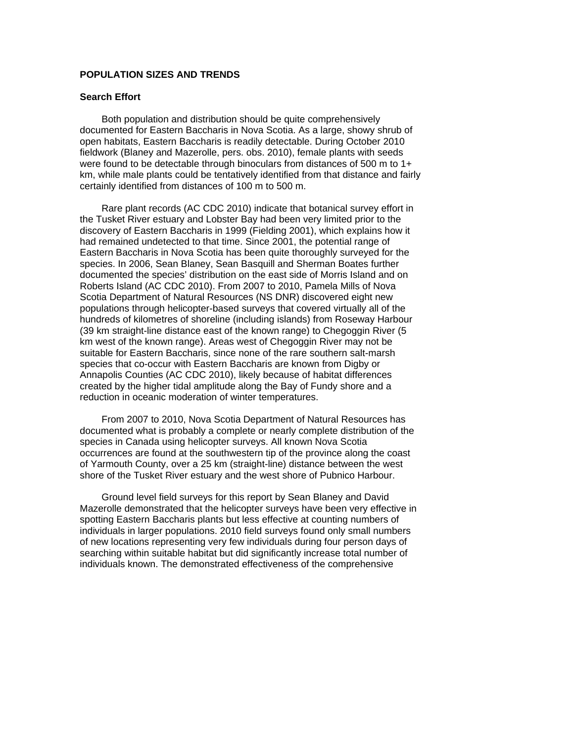## **POPULATION SIZES AND TRENDS**

#### **Search Effort**

Both population and distribution should be quite comprehensively documented for Eastern Baccharis in Nova Scotia. As a large, showy shrub of open habitats, Eastern Baccharis is readily detectable. During October 2010 fieldwork (Blaney and Mazerolle, pers. obs. 2010), female plants with seeds were found to be detectable through binoculars from distances of 500 m to 1+ km, while male plants could be tentatively identified from that distance and fairly certainly identified from distances of 100 m to 500 m.

Rare plant records (AC CDC 2010) indicate that botanical survey effort in the Tusket River estuary and Lobster Bay had been very limited prior to the discovery of Eastern Baccharis in 1999 (Fielding 2001), which explains how it had remained undetected to that time. Since 2001, the potential range of Eastern Baccharis in Nova Scotia has been quite thoroughly surveyed for the species. In 2006, Sean Blaney, Sean Basquill and Sherman Boates further documented the species' distribution on the east side of Morris Island and on Roberts Island (AC CDC 2010). From 2007 to 2010, Pamela Mills of Nova Scotia Department of Natural Resources (NS DNR) discovered eight new populations through helicopter-based surveys that covered virtually all of the hundreds of kilometres of shoreline (including islands) from Roseway Harbour (39 km straight-line distance east of the known range) to Chegoggin River (5 km west of the known range). Areas west of Chegoggin River may not be suitable for Eastern Baccharis, since none of the rare southern salt-marsh species that co-occur with Eastern Baccharis are known from Digby or Annapolis Counties (AC CDC 2010), likely because of habitat differences created by the higher tidal amplitude along the Bay of Fundy shore and a reduction in oceanic moderation of winter temperatures.

From 2007 to 2010, Nova Scotia Department of Natural Resources has documented what is probably a complete or nearly complete distribution of the species in Canada using helicopter surveys. All known Nova Scotia occurrences are found at the southwestern tip of the province along the coast of Yarmouth County, over a 25 km (straight-line) distance between the west shore of the Tusket River estuary and the west shore of Pubnico Harbour.

<span id="page-21-0"></span>Ground level field surveys for this report by Sean Blaney and David Mazerolle demonstrated that the helicopter surveys have been very effective in spotting Eastern Baccharis plants but less effective at counting numbers of individuals in larger populations. 2010 field surveys found only small numbers of new locations representing very few individuals during four person days of searching within suitable habitat but did significantly increase total number of individuals known. The demonstrated effectiveness of the comprehensive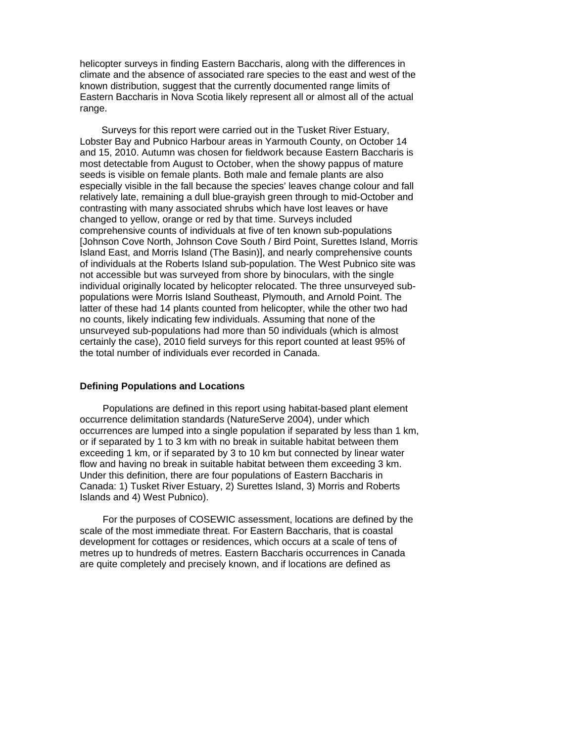helicopter surveys in finding Eastern Baccharis, along with the differences in climate and the absence of associated rare species to the east and west of the known distribution, suggest that the currently documented range limits of Eastern Baccharis in Nova Scotia likely represent all or almost all of the actual range.

Surveys for this report were carried out in the Tusket River Estuary, Lobster Bay and Pubnico Harbour areas in Yarmouth County, on October 14 and 15, 2010. Autumn was chosen for fieldwork because Eastern Baccharis is most detectable from August to October, when the showy pappus of mature seeds is visible on female plants. Both male and female plants are also especially visible in the fall because the species' leaves change colour and fall relatively late, remaining a dull blue-grayish green through to mid-October and contrasting with many associated shrubs which have lost leaves or have changed to yellow, orange or red by that time. Surveys included comprehensive counts of individuals at five of ten known sub-populations [Johnson Cove North, Johnson Cove South / Bird Point, Surettes Island, Morris Island East, and Morris Island (The Basin)], and nearly comprehensive counts of individuals at the Roberts Island sub-population. The West Pubnico site was not accessible but was surveyed from shore by binoculars, with the single individual originally located by helicopter relocated. The three unsurveyed subpopulations were Morris Island Southeast, Plymouth, and Arnold Point. The latter of these had 14 plants counted from helicopter, while the other two had no counts, likely indicating few individuals. Assuming that none of the unsurveyed sub-populations had more than 50 individuals (which is almost certainly the case), 2010 field surveys for this report counted at least 95% of the total number of individuals ever recorded in Canada.

#### **Defining Populations and Locations**

Populations are defined in this report using habitat-based plant element occurrence delimitation standards (NatureServe 2004), under which occurrences are lumped into a single population if separated by less than 1 km, or if separated by 1 to 3 km with no break in suitable habitat between them exceeding 1 km, or if separated by 3 to 10 km but connected by linear water flow and having no break in suitable habitat between them exceeding 3 km. Under this definition, there are four populations of Eastern Baccharis in Canada: 1) Tusket River Estuary, 2) Surettes Island, 3) Morris and Roberts Islands and 4) West Pubnico).

For the purposes of COSEWIC assessment, locations are defined by the scale of the most immediate threat. For Eastern Baccharis, that is coastal development for cottages or residences, which occurs at a scale of tens of metres up to hundreds of metres. Eastern Baccharis occurrences in Canada are quite completely and precisely known, and if locations are defined as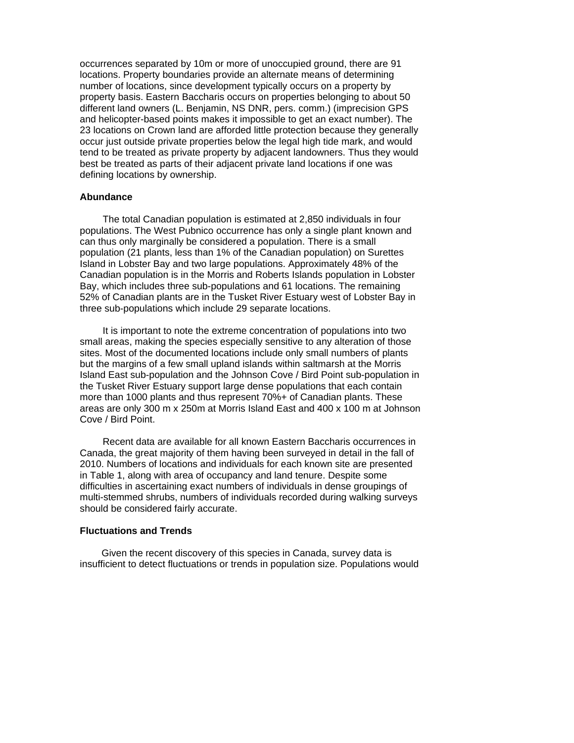occurrences separated by 10m or more of unoccupied ground, there are 91 locations. Property boundaries provide an alternate means of determining number of locations, since development typically occurs on a property by property basis. Eastern Baccharis occurs on properties belonging to about 50 different land owners (L. Benjamin, NS DNR, pers. comm.) (imprecision GPS and helicopter-based points makes it impossible to get an exact number). The 23 locations on Crown land are afforded little protection because they generally occur just outside private properties below the legal high tide mark, and would tend to be treated as private property by adjacent landowners. Thus they would best be treated as parts of their adjacent private land locations if one was defining locations by ownership.

#### **Abundance**

The total Canadian population is estimated at 2,850 individuals in four populations. The West Pubnico occurrence has only a single plant known and can thus only marginally be considered a population. There is a small population (21 plants, less than 1% of the Canadian population) on Surettes Island in Lobster Bay and two large populations. Approximately 48% of the Canadian population is in the Morris and Roberts Islands population in Lobster Bay, which includes three sub-populations and 61 locations. The remaining 52% of Canadian plants are in the Tusket River Estuary west of Lobster Bay in three sub-populations which include 29 separate locations.

It is important to note the extreme concentration of populations into two small areas, making the species especially sensitive to any alteration of those sites. Most of the documented locations include only small numbers of plants but the margins of a few small upland islands within saltmarsh at the Morris Island East sub-population and the Johnson Cove / Bird Point sub-population in the Tusket River Estuary support large dense populations that each contain more than 1000 plants and thus represent 70%+ of Canadian plants. These areas are only 300 m x 250m at Morris Island East and 400 x 100 m at Johnson Cove / Bird Point.

<span id="page-23-0"></span>Recent data are available for all known Eastern Baccharis occurrences in Canada, the great majority of them having been surveyed in detail in the fall of 2010. Numbers of locations and individuals for each known site are presented in Table 1, along with area of occupancy and land tenure. Despite some difficulties in ascertaining exact numbers of individuals in dense groupings of multi-stemmed shrubs, numbers of individuals recorded during walking surveys should be considered fairly accurate.

#### **Fluctuations and Trends**

<span id="page-23-1"></span>Given the recent discovery of this species in Canada, survey data is insufficient to detect fluctuations or trends in population size. Populations would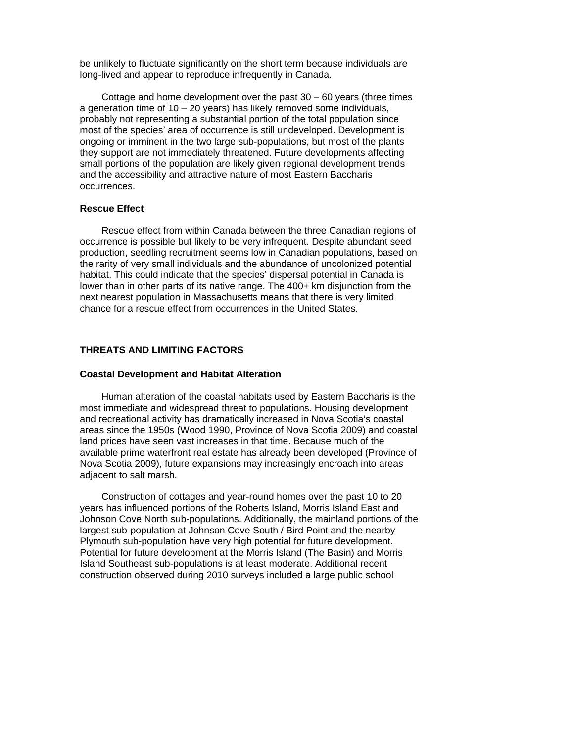be unlikely to fluctuate significantly on the short term because individuals are long-lived and appear to reproduce infrequently in Canada.

Cottage and home development over the past  $30 - 60$  years (three times a generation time of  $10 - 20$  years) has likely removed some individuals, probably not representing a substantial portion of the total population since most of the species' area of occurrence is still undeveloped. Development is ongoing or imminent in the two large sub-populations, but most of the plants they support are not immediately threatened. Future developments affecting small portions of the population are likely given regional development trends and the accessibility and attractive nature of most Eastern Baccharis occurrences.

#### **Rescue Effect**

<span id="page-24-0"></span>Rescue effect from within Canada between the three Canadian regions of occurrence is possible but likely to be very infrequent. Despite abundant seed production, seedling recruitment seems low in Canadian populations, based on the rarity of very small individuals and the abundance of uncolonized potential habitat. This could indicate that the species' dispersal potential in Canada is lower than in other parts of its native range. The 400+ km disjunction from the next nearest population in Massachusetts means that there is very limited chance for a rescue effect from occurrences in the United States.

### **THREATS AND LIMITING FACTORS**

#### <span id="page-24-1"></span>**Coastal Development and Habitat Alteration**

Human alteration of the coastal habitats used by Eastern Baccharis is the most immediate and widespread threat to populations. Housing development and recreational activity has dramatically increased in Nova Scotia's coastal areas since the 1950s (Wood 1990, Province of Nova Scotia 2009) and coastal land prices have seen vast increases in that time. Because much of the available prime waterfront real estate has already been developed (Province of Nova Scotia 2009), future expansions may increasingly encroach into areas adjacent to salt marsh.

Construction of cottages and year-round homes over the past 10 to 20 years has influenced portions of the Roberts Island, Morris Island East and Johnson Cove North sub-populations. Additionally, the mainland portions of the largest sub-population at Johnson Cove South / Bird Point and the nearby Plymouth sub-population have very high potential for future development. Potential for future development at the Morris Island (The Basin) and Morris Island Southeast sub-populations is at least moderate. Additional recent construction observed during 2010 surveys included a large public school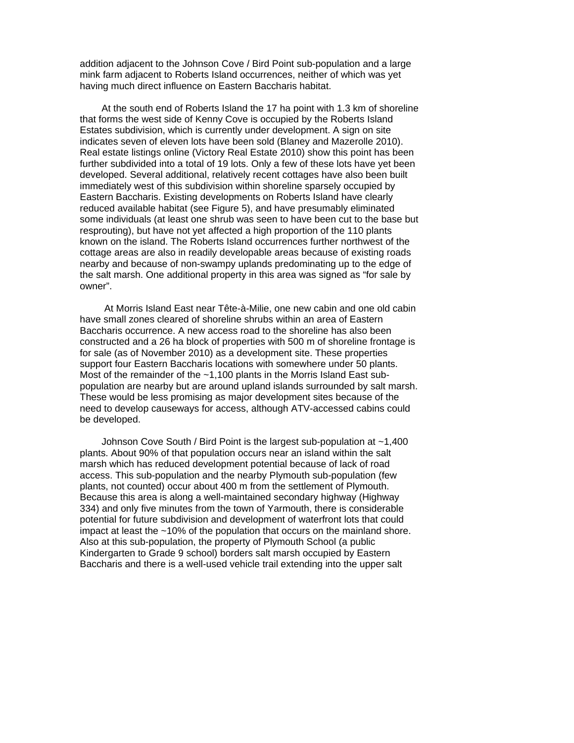addition adjacent to the Johnson Cove / Bird Point sub-population and a large mink farm adjacent to Roberts Island occurrences, neither of which was yet having much direct influence on Eastern Baccharis habitat.

At the south end of Roberts Island the 17 ha point with 1.3 km of shoreline that forms the west side of Kenny Cove is occupied by the Roberts Island Estates subdivision, which is currently under development. A sign on site indicates seven of eleven lots have been sold (Blaney and Mazerolle 2010). Real estate listings online (Victory Real Estate 2010) show this point has been further subdivided into a total of 19 lots. Only a few of these lots have yet been developed. Several additional, relatively recent cottages have also been built immediately west of this subdivision within shoreline sparsely occupied by Eastern Baccharis. Existing developments on Roberts Island have clearly reduced available habitat (see Figure 5), and have presumably eliminated some individuals (at least one shrub was seen to have been cut to the base but resprouting), but have not yet affected a high proportion of the 110 plants known on the island. The Roberts Island occurrences further northwest of the cottage areas are also in readily developable areas because of existing roads nearby and because of non-swampy uplands predominating up to the edge of the salt marsh. One additional property in this area was signed as "for sale by owner".

 At Morris Island East near Tête-à-Milie, one new cabin and one old cabin have small zones cleared of shoreline shrubs within an area of Eastern Baccharis occurrence. A new access road to the shoreline has also been constructed and a 26 ha block of properties with 500 m of shoreline frontage is for sale (as of November 2010) as a development site. These properties support four Eastern Baccharis locations with somewhere under 50 plants. Most of the remainder of the ~1,100 plants in the Morris Island East subpopulation are nearby but are around upland islands surrounded by salt marsh. These would be less promising as major development sites because of the need to develop causeways for access, although ATV-accessed cabins could be developed.

Johnson Cove South / Bird Point is the largest sub-population at ~1,400 plants. About 90% of that population occurs near an island within the salt marsh which has reduced development potential because of lack of road access. This sub-population and the nearby Plymouth sub-population (few plants, not counted) occur about 400 m from the settlement of Plymouth. Because this area is along a well-maintained secondary highway (Highway 334) and only five minutes from the town of Yarmouth, there is considerable potential for future subdivision and development of waterfront lots that could impact at least the ~10% of the population that occurs on the mainland shore. Also at this sub-population, the property of Plymouth School (a public Kindergarten to Grade 9 school) borders salt marsh occupied by Eastern Baccharis and there is a well-used vehicle trail extending into the upper salt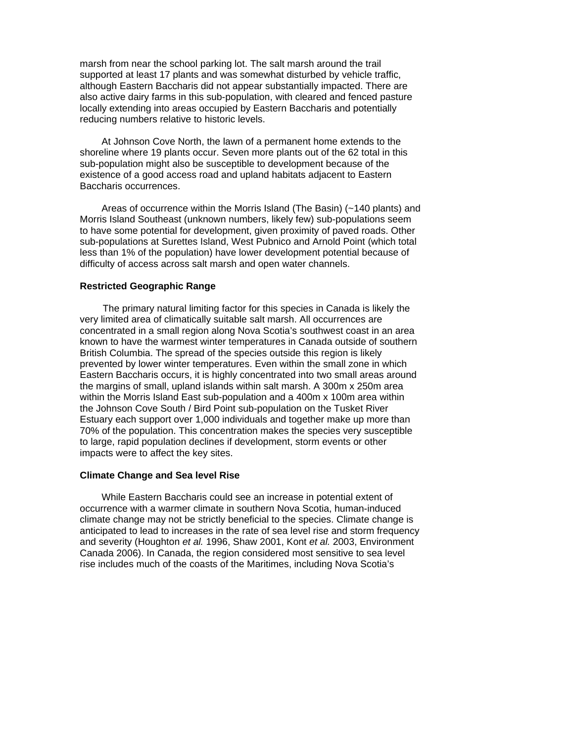marsh from near the school parking lot. The salt marsh around the trail supported at least 17 plants and was somewhat disturbed by vehicle traffic, although Eastern Baccharis did not appear substantially impacted. There are also active dairy farms in this sub-population, with cleared and fenced pasture locally extending into areas occupied by Eastern Baccharis and potentially reducing numbers relative to historic levels.

At Johnson Cove North, the lawn of a permanent home extends to the shoreline where 19 plants occur. Seven more plants out of the 62 total in this sub-population might also be susceptible to development because of the existence of a good access road and upland habitats adjacent to Eastern Baccharis occurrences.

Areas of occurrence within the Morris Island (The Basin) (~140 plants) and Morris Island Southeast (unknown numbers, likely few) sub-populations seem to have some potential for development, given proximity of paved roads. Other sub-populations at Surettes Island, West Pubnico and Arnold Point (which total less than 1% of the population) have lower development potential because of difficulty of access across salt marsh and open water channels.

### **Restricted Geographic Range**

The primary natural limiting factor for this species in Canada is likely the very limited area of climatically suitable salt marsh. All occurrences are concentrated in a small region along Nova Scotia's southwest coast in an area known to have the warmest winter temperatures in Canada outside of southern British Columbia. The spread of the species outside this region is likely prevented by lower winter temperatures. Even within the small zone in which Eastern Baccharis occurs, it is highly concentrated into two small areas around the margins of small, upland islands within salt marsh. A 300m x 250m area within the Morris Island East sub-population and a 400m x 100m area within the Johnson Cove South / Bird Point sub-population on the Tusket River Estuary each support over 1,000 individuals and together make up more than 70% of the population. This concentration makes the species very susceptible to large, rapid population declines if development, storm events or other impacts were to affect the key sites.

# **Climate Change and Sea level Rise**

While Eastern Baccharis could see an increase in potential extent of occurrence with a warmer climate in southern Nova Scotia, human-induced climate change may not be strictly beneficial to the species. Climate change is anticipated to lead to increases in the rate of sea level rise and storm frequency and severity (Houghton *et al.* 1996, Shaw 2001, Kont *et al.* 2003, Environment Canada 2006). In Canada, the region considered most sensitive to sea level rise includes much of the coasts of the Maritimes, including Nova Scotia's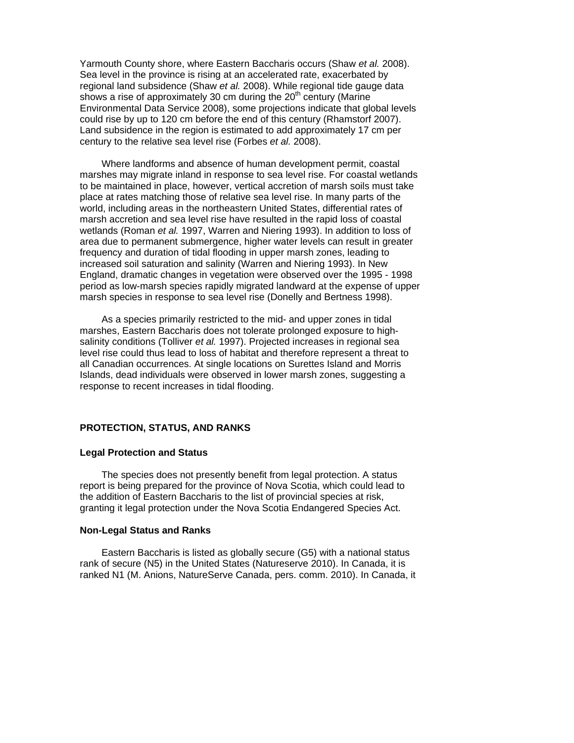Yarmouth County shore, where Eastern Baccharis occurs (Shaw *et al.* 2008). Sea level in the province is rising at an accelerated rate, exacerbated by regional land subsidence (Shaw *et al.* 2008). While regional tide gauge data shows a rise of approximately 30 cm during the  $20<sup>th</sup>$  century (Marine Environmental Data Service 2008), some projections indicate that global levels could rise by up to 120 cm before the end of this century (Rhamstorf 2007). Land subsidence in the region is estimated to add approximately 17 cm per century to the relative sea level rise (Forbes *et al.* 2008).

Where landforms and absence of human development permit, coastal marshes may migrate inland in response to sea level rise. For coastal wetlands to be maintained in place, however, vertical accretion of marsh soils must take place at rates matching those of relative sea level rise. In many parts of the world, including areas in the northeastern United States, differential rates of marsh accretion and sea level rise have resulted in the rapid loss of coastal wetlands (Roman *et al.* 1997, Warren and Niering 1993). In addition to loss of area due to permanent submergence, higher water levels can result in greater frequency and duration of tidal flooding in upper marsh zones, leading to increased soil saturation and salinity (Warren and Niering 1993). In New England, dramatic changes in vegetation were observed over the 1995 - 1998 period as low-marsh species rapidly migrated landward at the expense of upper marsh species in response to sea level rise (Donelly and Bertness 1998).

As a species primarily restricted to the mid- and upper zones in tidal marshes, Eastern Baccharis does not tolerate prolonged exposure to highsalinity conditions (Tolliver *et al.* 1997). Projected increases in regional sea level rise could thus lead to loss of habitat and therefore represent a threat to all Canadian occurrences. At single locations on Surettes Island and Morris Islands, dead individuals were observed in lower marsh zones, suggesting a response to recent increases in tidal flooding.

## **PROTECTION, STATUS, AND RANKS**

#### **Legal Protection and Status**

<span id="page-27-0"></span>The species does not presently benefit from legal protection. A status report is being prepared for the province of Nova Scotia, which could lead to the addition of Eastern Baccharis to the list of provincial species at risk, granting it legal protection under the Nova Scotia Endangered Species Act.

#### <span id="page-27-1"></span>**Non-Legal Status and Ranks**

<span id="page-27-2"></span>Eastern Baccharis is listed as globally secure (G5) with a national status rank of secure (N5) in the United States (Natureserve 2010). In Canada, it is ranked N1 (M. Anions, NatureServe Canada, pers. comm. 2010). In Canada, it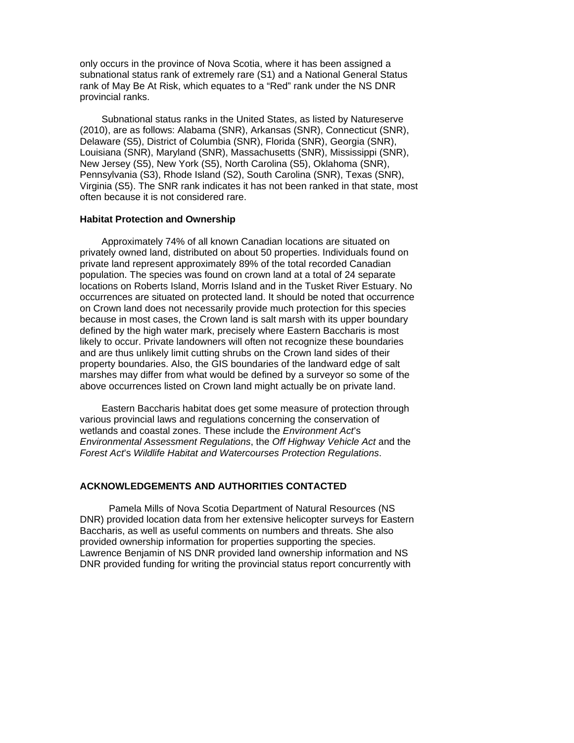only occurs in the province of Nova Scotia, where it has been assigned a subnational status rank of extremely rare (S1) and a National General Status rank of May Be At Risk, which equates to a "Red" rank under the NS DNR provincial ranks.

Subnational status ranks in the United States, as listed by Natureserve (2010), are as follows: Alabama (SNR), Arkansas (SNR), Connecticut (SNR), Delaware (S5), District of Columbia (SNR), Florida (SNR), Georgia (SNR), Louisiana (SNR), Maryland (SNR), Massachusetts (SNR), Mississippi (SNR), New Jersey (S5), New York (S5), North Carolina (S5), Oklahoma (SNR), Pennsylvania (S3), Rhode Island (S2), South Carolina (SNR), Texas (SNR), Virginia (S5). The SNR rank indicates it has not been ranked in that state, most often because it is not considered rare.

## **Habitat Protection and Ownership**

<span id="page-28-0"></span>Approximately 74% of all known Canadian locations are situated on privately owned land, distributed on about 50 properties. Individuals found on private land represent approximately 89% of the total recorded Canadian population. The species was found on crown land at a total of 24 separate locations on Roberts Island, Morris Island and in the Tusket River Estuary. No occurrences are situated on protected land. It should be noted that occurrence on Crown land does not necessarily provide much protection for this species because in most cases, the Crown land is salt marsh with its upper boundary defined by the high water mark, precisely where Eastern Baccharis is most likely to occur. Private landowners will often not recognize these boundaries and are thus unlikely limit cutting shrubs on the Crown land sides of their property boundaries. Also, the GIS boundaries of the landward edge of salt marshes may differ from what would be defined by a surveyor so some of the above occurrences listed on Crown land might actually be on private land.

Eastern Baccharis habitat does get some measure of protection through various provincial laws and regulations concerning the conservation of wetlands and coastal zones. These include the *Environment Act*'s *Environmental Assessment Regulations*, the *Off Highway Vehicle Act* and the *Forest Act*'s *Wildlife Habitat and Watercourses Protection Regulations*.

# **ACKNOWLEDGEMENTS AND AUTHORITIES CONTACTED**

<span id="page-28-1"></span> Pamela Mills of Nova Scotia Department of Natural Resources (NS DNR) provided location data from her extensive helicopter surveys for Eastern Baccharis, as well as useful comments on numbers and threats. She also provided ownership information for properties supporting the species. Lawrence Benjamin of NS DNR provided land ownership information and NS DNR provided funding for writing the provincial status report concurrently with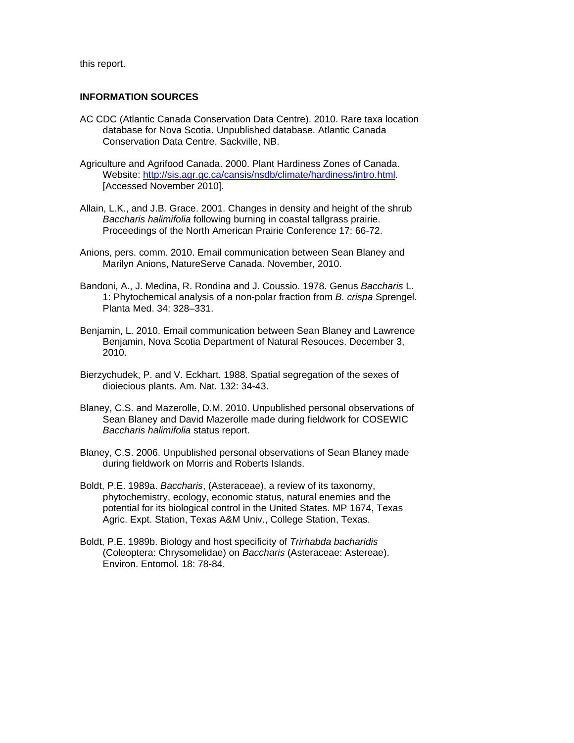<span id="page-29-0"></span>this report.

# **INFORMATION SOURCES**

- AC CDC (Atlantic Canada Conservation Data Centre). 2010. Rare taxa location database for Nova Scotia. Unpublished database. Atlantic Canada Conservation Data Centre, Sackville, NB.
- Agriculture and Agrifood Canada. 2000. Plant Hardiness Zones of Canada. Website: [http://sis.agr.gc.ca/cansis/nsdb/climate/hardiness/intro.html.](http://sis.agr.gc.ca/cansis/nsdb/climate/hardiness/intro.html) [Accessed November 2010].
- Allain, L.K., and J.B. Grace. 2001. Changes in density and height of the shrub *Baccharis halimifolia* following burning in coastal tallgrass prairie. Proceedings of the North American Prairie Conference 17: 66-72.
- Anions, pers. comm. 2010. Email communication between Sean Blaney and Marilyn Anions, NatureServe Canada. November, 2010.
- Bandoni, A., J. Medina, R. Rondina and J. Coussio. 1978. Genus *Baccharis* L. 1: Phytochemical analysis of a non-polar fraction from *B. crispa* Sprengel. Planta Med. 34: 328–331.
- Benjamin, L. 2010. Email communication between Sean Blaney and Lawrence Benjamin, Nova Scotia Department of Natural Resouces. December 3, 2010.
- Bierzychudek, P. and V. Eckhart. 1988. Spatial segregation of the sexes of dioiecious plants. Am. Nat. 132: 34-43.
- Blaney, C.S. and Mazerolle, D.M. 2010. Unpublished personal observations of Sean Blaney and David Mazerolle made during fieldwork for COSEWIC *Baccharis halimifolia* status report.
- Blaney, C.S. 2006. Unpublished personal observations of Sean Blaney made during fieldwork on Morris and Roberts Islands.
- Boldt, P.E. 1989a. *Baccharis*, (Asteraceae), a review of its taxonomy, phytochemistry, ecology, economic status, natural enemies and the potential for its biological control in the United States. MP 1674, Texas Agric. Expt. Station, Texas A&M Univ., College Station, Texas.
- Boldt, P.E. 1989b. Biology and host specificity of *Trirhabda bacharidis* (Coleoptera: Chrysomelidae) on *Baccharis* (Asteraceae: Astereae). Environ. Entomol. 18: 78-84.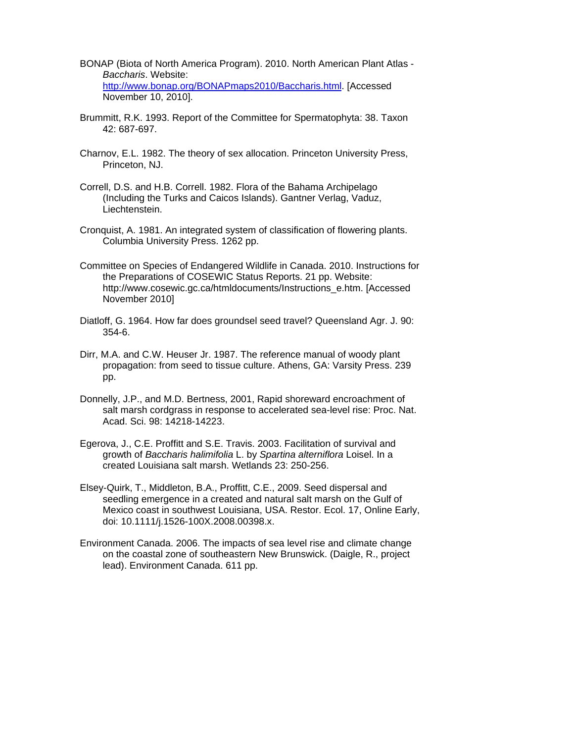- BONAP (Biota of North America Program). 2010. North American Plant Atlas *Baccharis*. Website: [http://www.bonap.org/BONAPmaps2010/Baccharis.html.](http://www.bonap.org/BONAPmaps2010/Baccharis.html) [Accessed November 10, 2010].
- Brummitt, R.K. 1993. [Report of the Committee for Spermatophyta: 38.](http://www.google.ca/url?sa=t&source=web&cd=1&ved=0CBUQFjAA&url=http%3A%2F%2Fwww.jstor.org%2Fstable%2F1222553&ei=RA75TOeKLoKKlweIxvHmBw&usg=AFQjCNH-eE6-tG5o9E8sVNEZXmQkwBGCwg) [Taxon](http://www.jstor.org/action/showPublication?journalCode=taxon) 42: 687-697.
- [Charnov, E.L.](http://en.wikipedia.org/wiki/Eric_Charnov) 1982. The theory of sex allocation. Princeton University Press, Princeton, NJ.
- [Correll, D.S. and H.B. Correll. 1982.](http://www.hear.org/pier/references/pierref000549.htm) Flora of the Bahama Archipelago (Including the Turks and Caicos Islands). Gantner Verlag, Vaduz, Liechtenstein.
- Cronquist, A. 1981. An integrated system of classification of flowering plants. Columbia University Press. 1262 pp.
- Committee on Species of Endangered Wildlife in Canada. 2010. Instructions for the Preparations of COSEWIC Status Reports. 21 pp. Website: http://www.cosewic.gc.ca/htmldocuments/Instructions\_e.htm. [Accessed November 2010]
- Diatloff, G. 1964. How far does groundsel seed travel? Queensland Agr. J. 90: 354-6.
- Dirr, M.A. and C.W. Heuser Jr. 1987. The reference manual of woody plant propagation: from seed to tissue culture. Athens, GA: Varsity Press. 239 pp.
- Donnelly, J.P., and M.D. Bertness, 2001, Rapid shoreward encroachment of salt marsh cordgrass in response to accelerated sea-level rise: Proc. Nat. Acad. Sci. 98: 14218-14223.
- [Egerova,](http://www.springerlink.com/content/?Author=Jana+Egerova) J., [C.E. Proffitt](http://www.springerlink.com/content/?Author=C.+Edward+Proffitt) and [S.E. Travis](http://www.springerlink.com/content/?Author=Steven+E.+Travis). 2003. Facilitation of survival and growth of *Baccharis halimifolia* L. by *Spartina alterniflora* Loisel. In a created Louisiana salt marsh. Wetlands 23: 250-256.
- Elsey-Quirk, T., Middleton, B.A., Proffitt, C.E., 2009. Seed dispersal and seedling emergence in a created and natural salt marsh on the Gulf of Mexico coast in southwest Louisiana, USA. Restor. Ecol. 17, Online Early, doi: 10.1111/j.1526-100X.2008.00398.x.
- Environment Canada. 2006. The impacts of sea level rise and climate change on the coastal zone of southeastern New Brunswick. (Daigle, R., project lead). Environment Canada. 611 pp.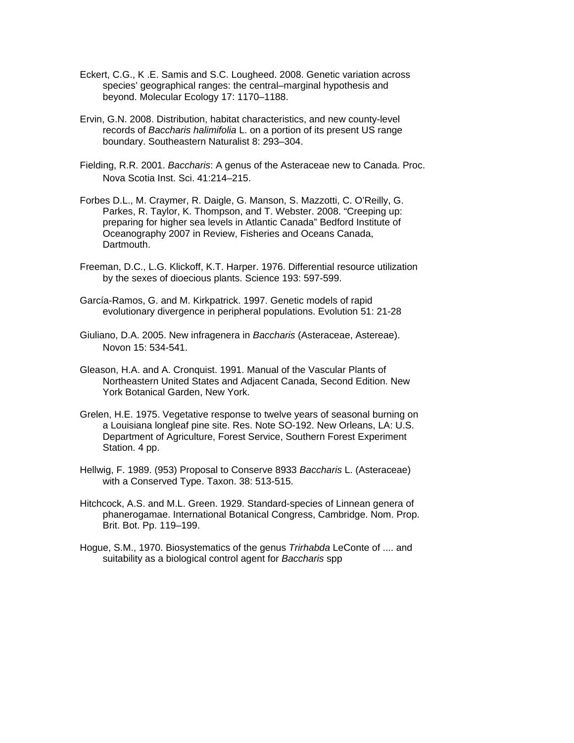- Eckert, C.G., K .E. Samis and S.C. Lougheed. 2008. Genetic variation across species' geographical ranges: the central–marginal hypothesis and beyond. Molecular Ecology 17: 1170–1188.
- Ervin, G.N. 2008. Distribution, habitat characteristics, and new county-level records of *Baccharis halimifolia* L. on a portion of its present US range boundary. Southeastern Naturalist 8: 293–304.
- Fielding, R.R. 2001. *Baccharis*: A genus of the Asteraceae new to Canada. Proc. Nova Scotia Inst. Sci. 41:214–215.
- Forbes D.L., M. Craymer, R. Daigle, G. Manson, S. Mazzotti, C. O'Reilly, G. Parkes, R. Taylor, K. Thompson, and T. Webster. 2008. "Creeping up: preparing for higher sea levels in Atlantic Canada" Bedford Institute of Oceanography 2007 in Review, Fisheries and Oceans Canada, Dartmouth.
- Freeman, D.C., L.G. Klickoff, K.T. Harper. 1976. Differential resource utilization by the sexes of dioecious plants. Science 193: 597-599.
- García-Ramos, G. and M. Kirkpatrick. 1997. Genetic models of rapid evolutionary divergence in peripheral populations. Evolution 51: 21-28
- Giuliano, D.A. 2005. New infragenera in *Baccharis* (Asteraceae, Astereae). Novon 15: 534-541.
- Gleason, H.A. and A. Cronquist. 1991. Manual of the Vascular Plants of Northeastern United States and Adjacent Canada, Second Edition. New York Botanical Garden, New York.
- Grelen, H.E. 1975. Vegetative response to twelve years of seasonal burning on a Louisiana longleaf pine site. Res. Note SO-192. New Orleans, LA: U.S. Department of Agriculture, Forest Service, Southern Forest Experiment Station. 4 pp.
- Hellwig, F. 1989. (953) Proposal to Conserve 8933 *Baccharis* L. (Asteraceae) with a Conserved Type. Taxon. 38: 513-515.
- Hitchcock, A.S. and M.L. Green. 1929. Standard-species of Linnean genera of phanerogamae. International Botanical Congress, Cambridge. Nom. Prop. Brit. Bot. Pp. 119–199.
- Hogue, S.M., 1970. Biosystematics of the genus *Trirhabda* LeConte of .... and suitability as a biological control agent for *Baccharis* spp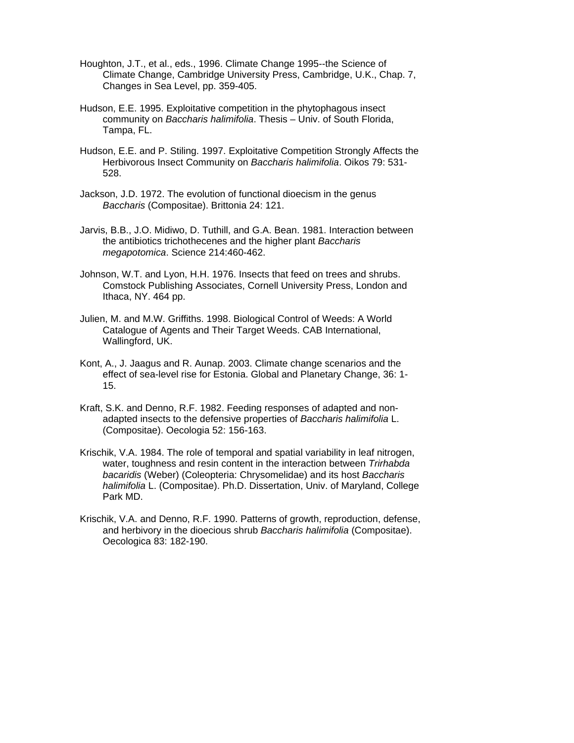- Houghton, J.T., et al., eds., 1996. Climate Change 1995--the Science of Climate Change, Cambridge University Press, Cambridge, U.K., Chap. 7, Changes in Sea Level, pp. 359-405.
- Hudson, E.E. 1995. Exploitative competition in the phytophagous insect community on *Baccharis halimifolia*. Thesis – Univ. of South Florida, Tampa, FL.
- Hudson, E.E. and P. Stiling. 1997. Exploitative Competition Strongly Affects the Herbivorous Insect Community on *Baccharis halimifolia*. Oikos 79: 531- 528.
- Jackson, J.D. 1972. The evolution of functional dioecism in the genus *Baccharis* (Compositae). Brittonia 24: 121.
- Jarvis, B.B., J.O. Midiwo, D. Tuthill, and G.A. Bean. 1981. Interaction between the antibiotics trichothecenes and the higher plant *Baccharis megapotomica*. Science 214:460-462.
- Johnson, W.T. and Lyon, H.H. 1976. Insects that feed on trees and shrubs. Comstock Publishing Associates, Cornell University Press, London and Ithaca, NY. 464 pp.
- Julien, M. and M.W. Griffiths. 1998. Biological Control of Weeds: A World Catalogue of Agents and Their Target Weeds. CAB International, Wallingford, UK.
- Kont, A., J. Jaagus and R. Aunap. 2003. Climate change scenarios and the effect of sea-level rise for Estonia. Global and Planetary Change, 36: 1- 15.
- Kraft, S.K. and Denno, R.F. 1982. Feeding responses of adapted and nonadapted insects to the defensive properties of *Baccharis halimifolia* L. (Compositae). Oecologia 52: 156-163.
- Krischik, V.A. 1984. The role of temporal and spatial variability in leaf nitrogen, water, toughness and resin content in the interaction between *Trirhabda bacaridis* (Weber) (Coleopteria: Chrysomelidae) and its host *Baccharis halimifolia* L. (Compositae). Ph.D. Dissertation, Univ. of Maryland, College Park MD.
- Krischik, V.A. and Denno, R.F. 1990. Patterns of growth, reproduction, defense, and herbivory in the dioecious shrub *Baccharis halimifolia* (Compositae). Oecologica 83: 182-190.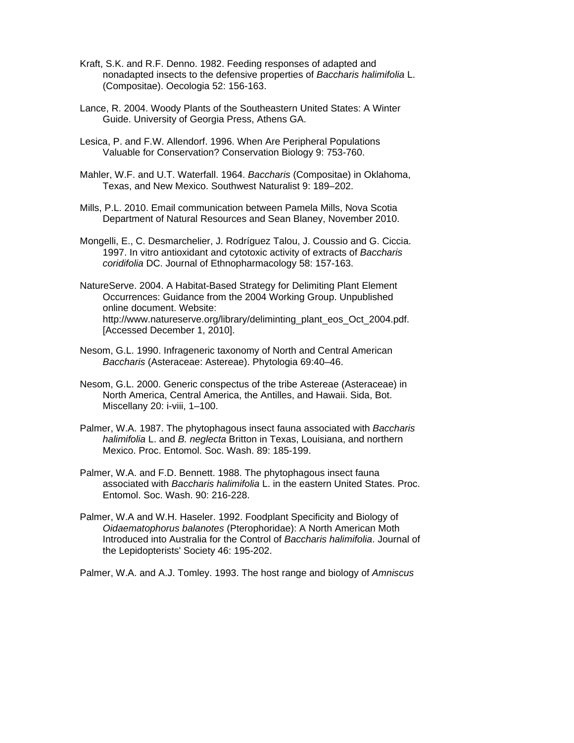- Kraft, S.K. and R.F. Denno. 1982. Feeding responses of adapted and nonadapted insects to the defensive properties of *Baccharis halimifolia* L. (Compositae). Oecologia 52: 156-163.
- Lance, R. 2004. Woody Plants of the Southeastern United States: A Winter Guide. University of Georgia Press, Athens GA.
- Lesica, P. and F.W. Allendorf. 1996. When Are Peripheral Populations Valuable for Conservation? Conservation Biology 9: 753-760.
- Mahler, W.F. and U.T. Waterfall. 1964. *Baccharis* (Compositae) in Oklahoma, Texas, and New Mexico. Southwest Naturalist 9: 189–202.
- Mills, P.L. 2010. Email communication between Pamela Mills, Nova Scotia Department of Natural Resources and Sean Blaney, November 2010.
- Mongelli, E., C. Desmarchelier, J. Rodríguez Talou, J. Coussio and G. Ciccia. 1997. In vitro antioxidant and cytotoxic activity of extracts of *Baccharis coridifolia* DC. [Journal of Ethnopharmacology](http://www.sciencedirect.com/science/journal/03788741) 58: 157-163.
- NatureServe. 2004. A Habitat-Based Strategy for Delimiting Plant Element Occurrences: Guidance from the 2004 Working Group. Unpublished online document. Website: http://www.natureserve.org/library/deliminting\_plant\_eos\_Oct\_2004.pdf. [\[Accessed December 1](http://www.natureserve.org/library/deliminting_plant_eos_Oct_2004.pdf.%20%5BAccessed%20December%201), 2010].
- Nesom, G.L. 1990. Infrageneric taxonomy of North and Central American *Baccharis* (Asteraceae: Astereae). Phytologia 69:40–46.
- Nesom, G.L. 2000. Generic conspectus of the tribe Astereae (Asteraceae) in North America, Central America, the Antilles, and Hawaii. Sida, Bot. Miscellany 20: i-viii, 1–100.
- Palmer, W.A. 1987. The phytophagous insect fauna associated with *Baccharis halimifolia* L. and *B. neglecta* Britton in Texas, Louisiana, and northern Mexico. Proc. Entomol. Soc. Wash. 89: 185-199.
- Palmer, W.A. and F.D. Bennett. 1988. The phytophagous insect fauna associated with *Baccharis halimifolia* L. in the eastern United States. Proc. Entomol. Soc. Wash. 90: 216-228.
- Palmer, W.A and W.H. Haseler. 1992. Foodplant Specificity and Biology of *Oidaematophorus balanotes* (Pterophoridae): A North American Moth Introduced into Australia for the Control of *Baccharis halimifolia*. Journal of the Lepidopterists' Society 46: 195-202.

Palmer, W.A. and A.J. Tomley. 1993. The host range and biology of *Amniscus*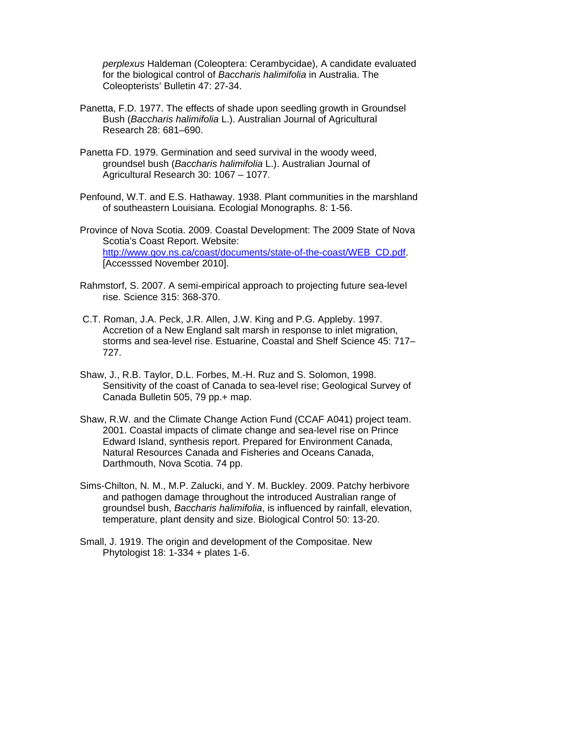*perplexus* Haldeman (Coleoptera: Cerambycidae), A candidate evaluated for the biological control of *Baccharis halimifolia* in Australia. The Coleopterists' Bulletin 47: 27-34.

- Panetta, F.D. 1977. The effects of shade upon seedling growth in Groundsel Bush (*Baccharis halimifolia* L.). Australian Journal of Agricultural Research 28: 681–690.
- Panetta FD. 1979. Germination and seed survival in the woody weed, groundsel bush (*Baccharis halimifolia* L.). Australian Journal of Agricultural Research 30: 1067 – 1077.
- Penfound, W.T. and E.S. Hathaway. 1938. Plant communities in the marshland of southeastern Louisiana. Ecologial Monographs. 8: 1-56.
- Province of Nova Scotia. 2009. Coastal Development: The 2009 State of Nova Scotia's Coast Report. Website: [http://www.gov.ns.ca/coast/documents/state-of-the-coast/WEB\\_CD.pdf.](http://www.gov.ns.ca/coast/documents/state-of-the-coast/WEB_CD.pdf) [Accesssed November 2010].
- Rahmstorf, S. 2007. A semi-empirical approach to projecting future sea-level rise. Science 315: 368-370.
- [C.T. Roman, J.A. Peck, J.R. Allen, J.W. King and P.G. Appleby. 1997.](http://www.sciencedirect.com/science?_ob=ArticleURL&_udi=B6V93-4619JB3-1&_user=1069325&_coverDate=11%2F01%2F2002&_rdoc=1&_fmt=high&_orig=search&_origin=search&_sort=d&_docanchor=&view=c&_searchStrId=1565981363&_rerunOrigin=scholar.google&_acct=C000051276&_version=1&_urlVersion=0&_userid=1069325&md5=84cbee64b9d3973ddd30e774085547e4&searchtype=a#bbib65)  Accretion of a New England salt marsh in response to inlet migration, storms and sea-level rise. Estuarine, Coastal and Shelf Science 45: 717– 727.
- Shaw, J., R.B. Taylor, D.L. Forbes, M.-H. Ruz and S. Solomon, 1998. Sensitivity of the coast of Canada to sea-level rise; Geological Survey of Canada Bulletin 505, 79 pp.+ map.
- Shaw, R.W. and the Climate Change Action Fund (CCAF A041) project team. 2001. Coastal impacts of climate change and sea-level rise on Prince Edward Island, synthesis report. Prepared for Environment Canada, Natural Resources Canada and Fisheries and Oceans Canada, Darthmouth, Nova Scotia. 74 pp.
- Sims-Chilton, N. M., M.P. Zalucki, and Y. M. Buckley. 2009. Patchy herbivore and pathogen damage throughout the introduced Australian range of groundsel bush, *Baccharis halimifolia*, is influenced by rainfall, elevation, temperature, plant density and size. Biological Control 50: 13-20.
- Small, J. 1919. The origin and development of the Compositae. New Phytologist 18: 1-334 + plates 1-6.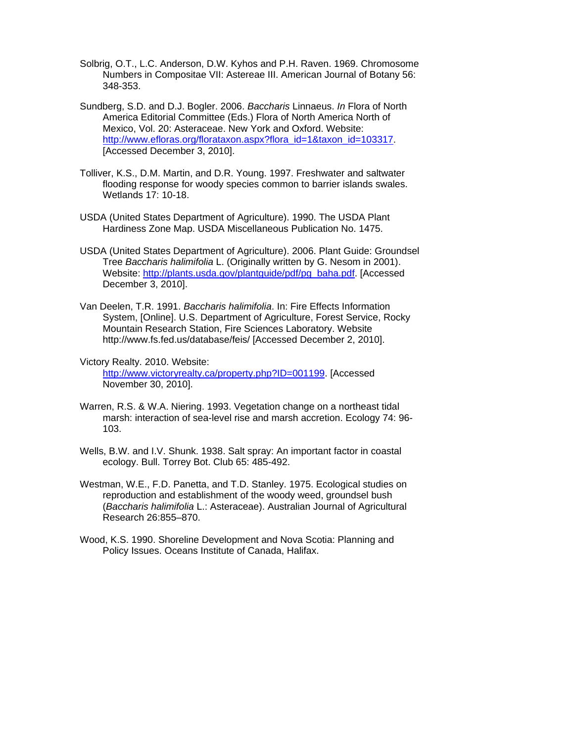- Solbrig, O.T., L.C. Anderson, D.W. Kyhos and P.H. Raven. 1969. Chromosome Numbers in Compositae VII: Astereae III. [American Journal of Botany](http://www.jstor.org/action/showPublication?journalCode=americanjbotany) 56: 348-353.
- Sundberg, S.D. and D.J. Bogler. 2006. *Baccharis* Linnaeus. *In* Flora of North America Editorial Committee (Eds.) Flora of North America North of Mexico, Vol. 20: Asteraceae. New York and Oxford. Website: [http://www.efloras.org/florataxon.aspx?flora\\_id=1&taxon\\_id=103317.](http://www.efloras.org/florataxon.aspx?flora_id=1&taxon_id=103317) [Accessed December 3, 2010].
- Tolliver, K.S., D.M. Martin, and D.R. Young. 1997. Freshwater and saltwater flooding response for woody species common to barrier islands swales. Wetlands 17: 10-18.
- USDA (United States Department of Agriculture). 1990. The USDA Plant Hardiness Zone Map. USDA Miscellaneous Publication No. 1475.
- USDA (United States Department of Agriculture). 2006. Plant Guide: Groundsel Tree *Baccharis halimifolia* L. (Originally written by G. Nesom in 2001). Website: http://plants.usda.gov/plantquide/pdf/pg\_baha.pdf. [Accessed December 3, 2010].
- Van Deelen, T.R. 1991. *Baccharis halimifolia*. In: Fire Effects Information System, [Online]. U.S. Department of Agriculture, Forest Service, Rocky Mountain Research Station, Fire Sciences Laboratory. Website http://www.fs.fed.us/database/feis/ [Accessed December 2, 2010].
- Victory Realty. 2010. Website: <http://www.victoryrealty.ca/property.php?ID=001199>. [Accessed November 30, 2010].
- Warren, R.S. & W.A. Niering. 1993. Vegetation change on a northeast tidal marsh: interaction of sea-level rise and marsh accretion. Ecology 74: 96- 103.
- Wells, B.W. and I.V. Shunk. 1938. Salt spray: An important factor in coastal ecology. Bull. Torrey Bot. Club 65: 485-492.
- Westman, W.E., F.D. Panetta, and T.D. Stanley. 1975. Ecological studies on reproduction and establishment of the woody weed, groundsel bush (*Baccharis halimifolia* L.: Asteraceae). Australian Journal of Agricultural Research 26:855–870.
- Wood, K.S. 1990. Shoreline Development and Nova Scotia: Planning and Policy Issues. Oceans Institute of Canada, Halifax.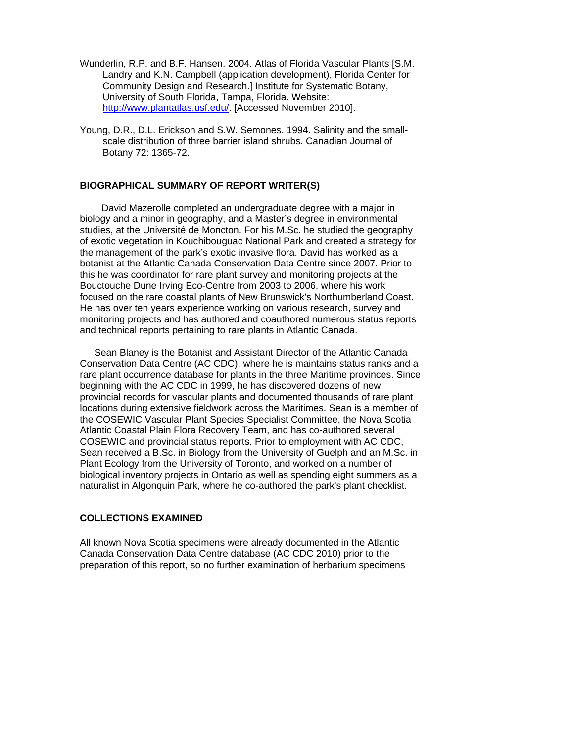- Wunderlin, R.P. and B.F. Hansen. 2004. Atlas of Florida Vascular Plants [S.M. Landry and K.N. Campbell (application development), Florida Center for Community Design and Research.] Institute for Systematic Botany, University of South Florida, Tampa, Florida. Website: <http://www.plantatlas.usf.edu/>. [Accessed November 2010].
- Young, D.R., D.L. Erickson and S.W. Semones. 1994. Salinity and the smallscale distribution of three barrier island shrubs. Canadian Journal of Botany 72: 1365-72.

# **BIOGRAPHICAL SUMMARY OF REPORT WRITER(S)**

David Mazerolle completed an undergraduate degree with a major in biology and a minor in geography, and a Master's degree in environmental studies, at the Université de Moncton. For his M.Sc. he studied the geography of exotic vegetation in Kouchibouguac National Park and created a strategy for the management of the park's exotic invasive flora. David has worked as a botanist at the Atlantic Canada Conservation Data Centre since 2007. Prior to this he was coordinator for rare plant survey and monitoring projects at the Bouctouche Dune Irving Eco-Centre from 2003 to 2006, where his work focused on the rare coastal plants of New Brunswick's Northumberland Coast. He has over ten years experience working on various research, survey and monitoring projects and has authored and coauthored numerous status reports and technical reports pertaining to rare plants in Atlantic Canada.

 Sean Blaney is the Botanist and Assistant Director of the Atlantic Canada Conservation Data Centre (AC CDC), where he is maintains status ranks and a rare plant occurrence database for plants in the three Maritime provinces. Since beginning with the AC CDC in 1999, he has discovered dozens of new provincial records for vascular plants and documented thousands of rare plant locations during extensive fieldwork across the Maritimes. Sean is a member of the COSEWIC Vascular Plant Species Specialist Committee, the Nova Scotia Atlantic Coastal Plain Flora Recovery Team, and has co-authored several COSEWIC and provincial status reports. Prior to employment with AC CDC, Sean received a B.Sc. in Biology from the University of Guelph and an M.Sc. in Plant Ecology from the University of Toronto, and worked on a number of biological inventory projects in Ontario as well as spending eight summers as a naturalist in Algonquin Park, where he co-authored the park's plant checklist.

#### <span id="page-36-0"></span>**COLLECTIONS EXAMINED**

<span id="page-36-1"></span>All known Nova Scotia specimens were already documented in the Atlantic Canada Conservation Data Centre database (AC CDC 2010) prior to the preparation of this report, so no further examination of herbarium specimens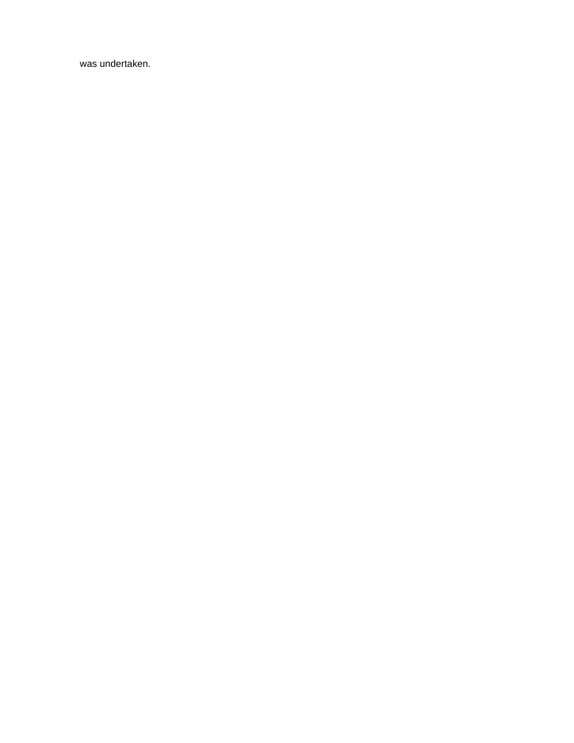was undertaken.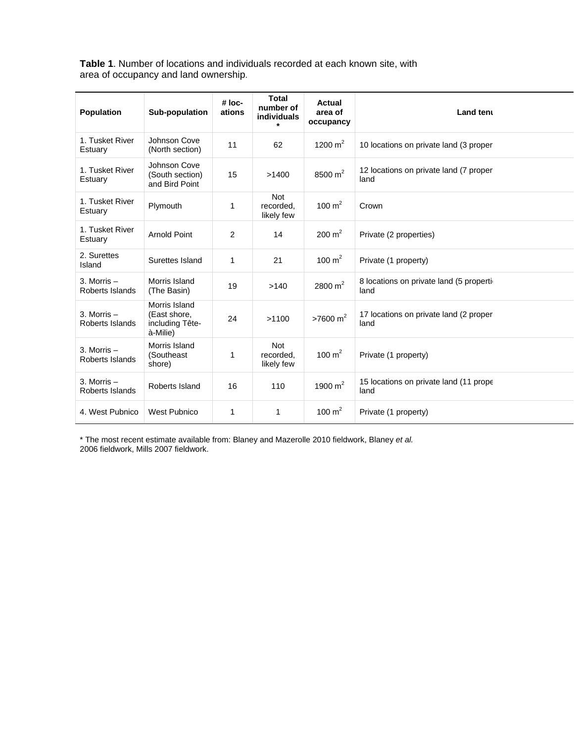**Table 1**. Number of locations and individuals recorded at each known site, with area of occupancy and land ownership.

| <b>Population</b>                | Sub-population                                               | # loc-<br>ations | <b>Total</b><br>number of<br><b>individuals</b><br>$\star$ | Actual<br>area of<br>occupancy | Land tent                                         |
|----------------------------------|--------------------------------------------------------------|------------------|------------------------------------------------------------|--------------------------------|---------------------------------------------------|
| 1. Tusket River<br>Estuary       | Johnson Cove<br>(North section)                              | 11               | 62                                                         | 1200 $m2$                      | 10 locations on private land (3 proper            |
| 1. Tusket River<br>Estuary       | Johnson Cove<br>(South section)<br>and Bird Point            | 15               | >1400                                                      | 8500 $m^2$                     | 12 locations on private land (7 proper<br>land    |
| 1. Tusket River<br>Estuary       | Plymouth                                                     | 1                | <b>Not</b><br>recorded.<br>likely few                      | 100 $m2$                       | Crown                                             |
| 1. Tusket River<br>Estuary       | <b>Arnold Point</b>                                          | 2                | 14                                                         | $200 \text{ m}^2$              | Private (2 properties)                            |
| 2. Surettes<br>Island            | Surettes Island                                              | 1                | 21                                                         | 100 $m2$                       | Private (1 property)                              |
| 3. Morris $-$<br>Roberts Islands | Morris Island<br>(The Basin)                                 | 19               | >140                                                       | 2800 $m2$                      | 8 locations on private land (5 propertion<br>land |
| 3. Morris $-$<br>Roberts Islands | Morris Island<br>(East shore,<br>including Tête-<br>à-Milie) | 24               | >1100                                                      | $>7600 \text{ m}^2$            | 17 locations on private land (2 proper<br>land    |
| 3. Morris $-$<br>Roberts Islands | Morris Island<br>(Southeast<br>shore)                        | 1                | <b>Not</b><br>recorded.<br>likely few                      | 100 $m2$                       | Private (1 property)                              |
| 3. Morris $-$<br>Roberts Islands | Roberts Island                                               | 16               | 110                                                        | 1900 $m2$                      | 15 locations on private land (11 prope<br>land    |
| 4. West Pubnico                  | <b>West Pubnico</b>                                          | 1                | 1                                                          | 100 $m2$                       | Private (1 property)                              |

\* The most recent estimate available from: Blaney and Mazerolle 2010 fieldwork, Blaney *et al.* 2006 fieldwork, Mills 2007 fieldwork.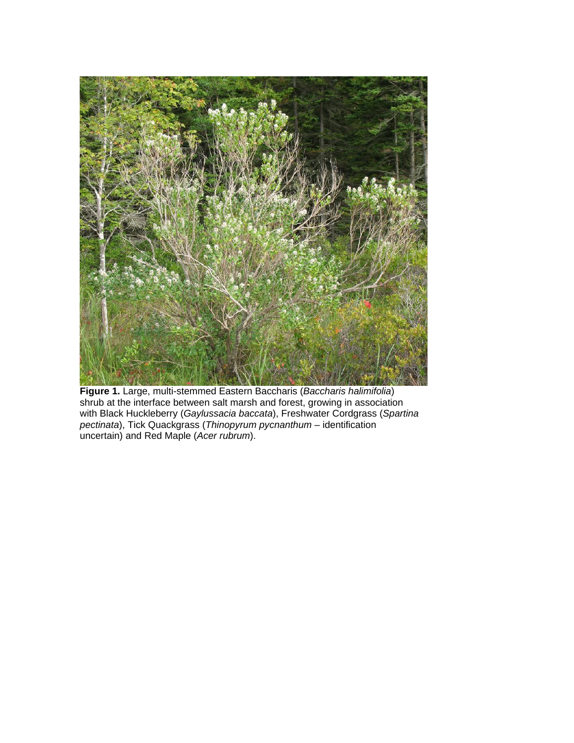

**Figure 1.** Large, multi-stemmed Eastern Baccharis (*Baccharis halimifolia*) shrub at the interface between salt marsh and forest, growing in association with Black Huckleberry (*Gaylussacia baccata*), Freshwater Cordgrass (*Spartina pectinata*), Tick Quackgrass (*Thinopyrum pycnanthum* – identification uncertain) and Red Maple (*Acer rubrum*).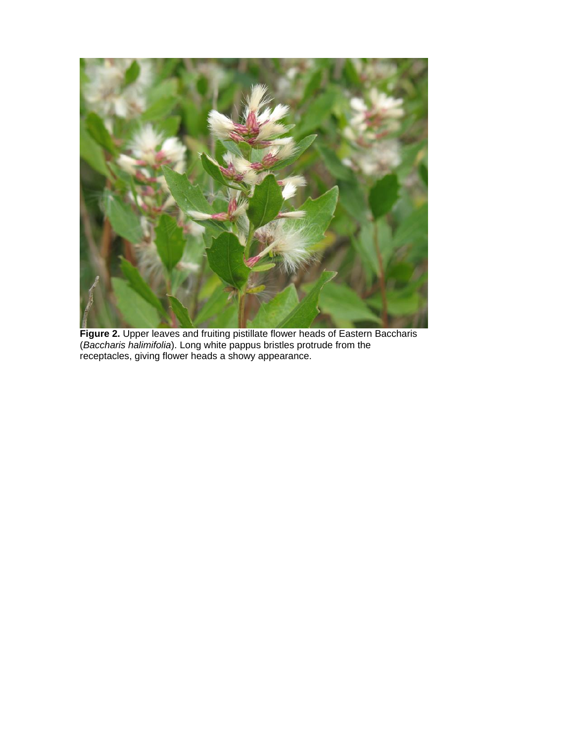

**Figure 2.** Upper leaves and fruiting pistillate flower heads of Eastern Baccharis (*Baccharis halimifolia*). Long white pappus bristles protrude from the receptacles, giving flower heads a showy appearance.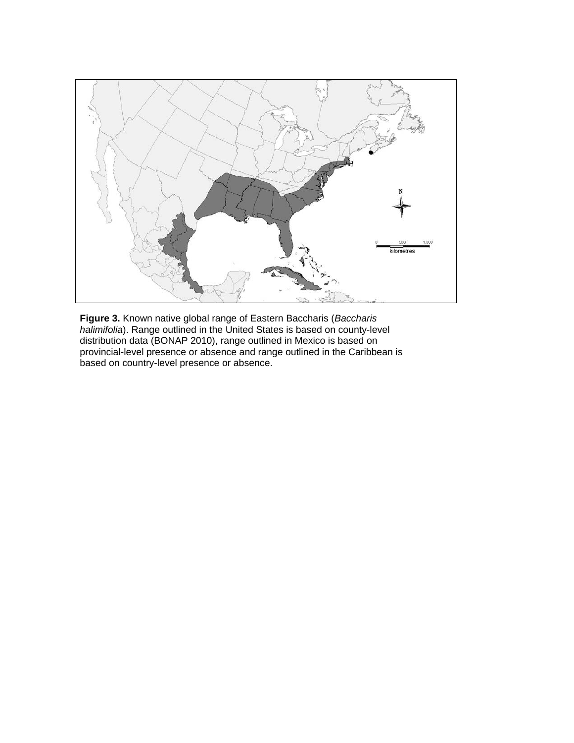

**Figure 3.** Known native global range of Eastern Baccharis (*Baccharis halimifolia*). Range outlined in the United States is based on county-level distribution data (BONAP 2010), range outlined in Mexico is based on provincial-level presence or absence and range outlined in the Caribbean is based on country-level presence or absence.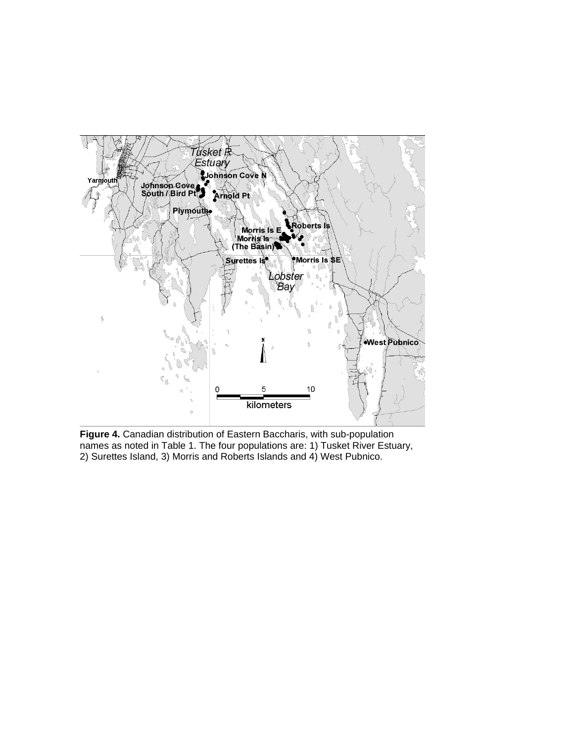

**Figure 4.** Canadian distribution of Eastern Baccharis, with sub-population names as noted in Table 1. The four populations are: 1) Tusket River Estuary, 2) Surettes Island, 3) Morris and Roberts Islands and 4) West Pubnico.